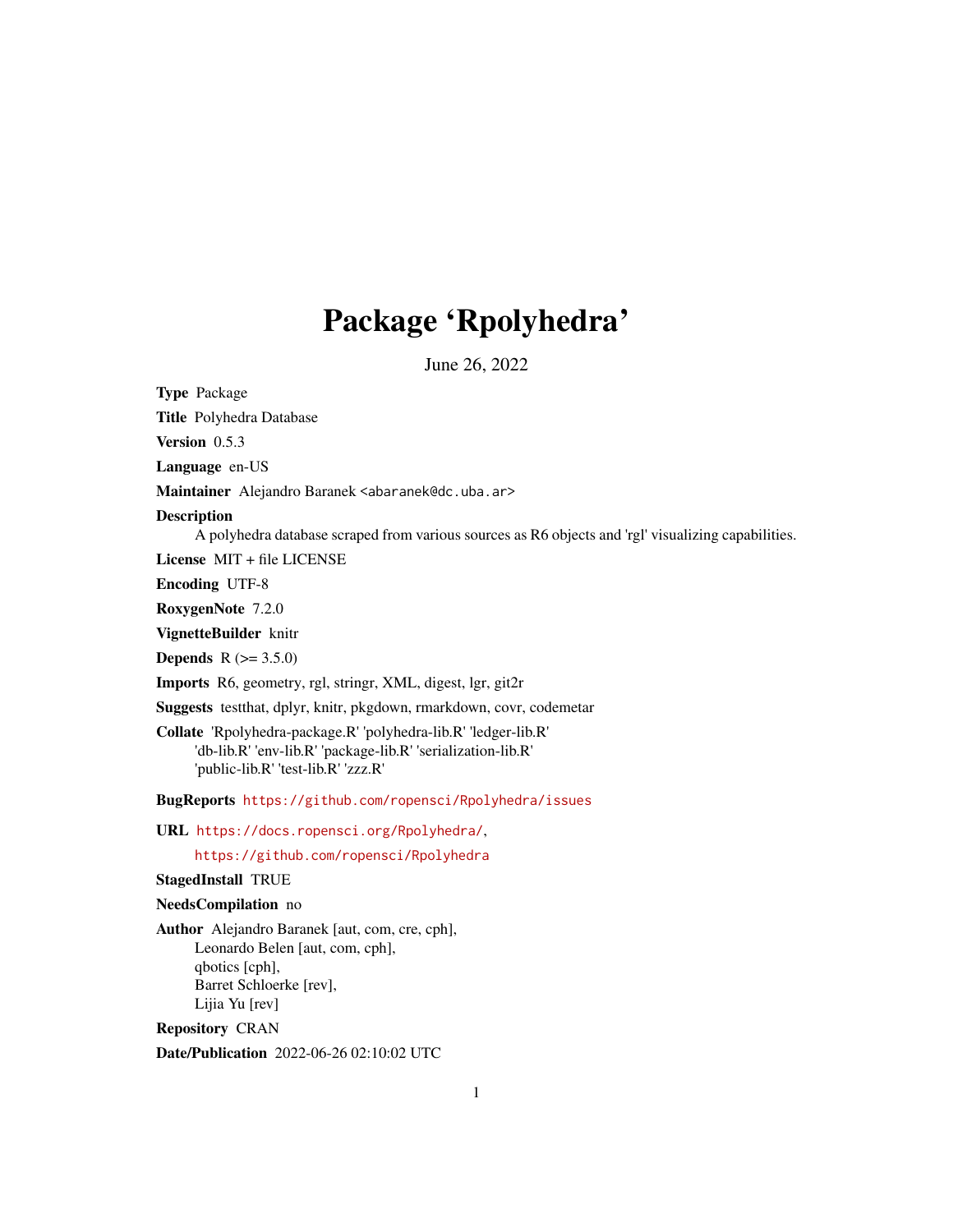# Package 'Rpolyhedra'

June 26, 2022

<span id="page-0-0"></span>Type Package

Title Polyhedra Database

Version 0.5.3

Language en-US

Maintainer Alejandro Baranek <abaranek@dc.uba.ar>

#### **Description**

A polyhedra database scraped from various sources as R6 objects and 'rgl' visualizing capabilities.

License MIT + file LICENSE

Encoding UTF-8

RoxygenNote 7.2.0

VignetteBuilder knitr

**Depends** R  $(>= 3.5.0)$ 

Imports R6, geometry, rgl, stringr, XML, digest, lgr, git2r

Suggests testthat, dplyr, knitr, pkgdown, rmarkdown, covr, codemetar

Collate 'Rpolyhedra-package.R' 'polyhedra-lib.R' 'ledger-lib.R' 'db-lib.R' 'env-lib.R' 'package-lib.R' 'serialization-lib.R' 'public-lib.R' 'test-lib.R' 'zzz.R'

BugReports <https://github.com/ropensci/Rpolyhedra/issues>

URL <https://docs.ropensci.org/Rpolyhedra/>,

<https://github.com/ropensci/Rpolyhedra>

#### StagedInstall TRUE

#### NeedsCompilation no

Author Alejandro Baranek [aut, com, cre, cph], Leonardo Belen [aut, com, cph], qbotics [cph], Barret Schloerke [rev], Lijia Yu [rev]

Repository CRAN

Date/Publication 2022-06-26 02:10:02 UTC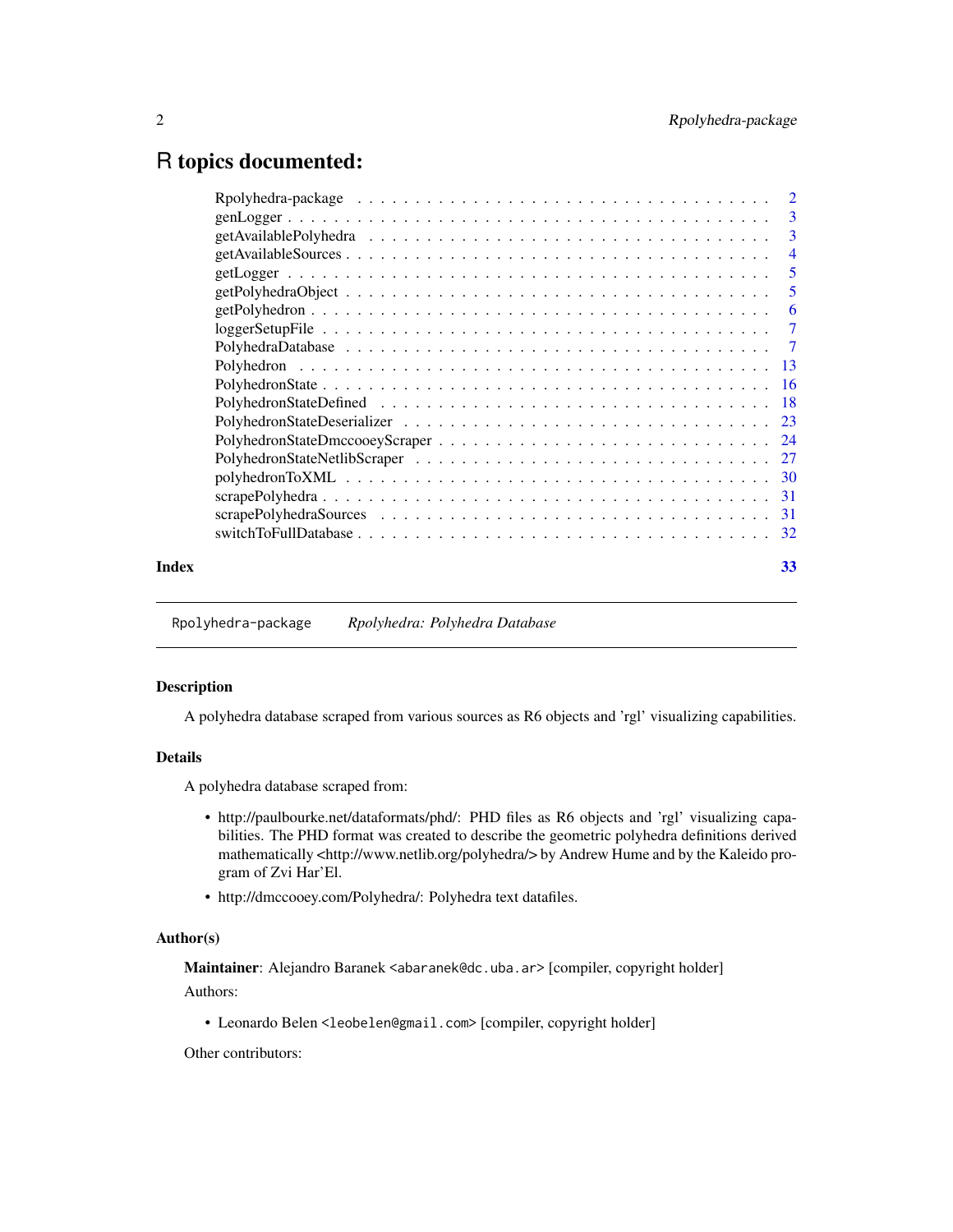# <span id="page-1-0"></span>R topics documented:

| Index | 33 |
|-------|----|
|       |    |

Rpolyhedra-package *Rpolyhedra: Polyhedra Database*

#### Description

A polyhedra database scraped from various sources as R6 objects and 'rgl' visualizing capabilities.

#### Details

A polyhedra database scraped from:

- http://paulbourke.net/dataformats/phd/: PHD files as R6 objects and 'rgl' visualizing capabilities. The PHD format was created to describe the geometric polyhedra definitions derived mathematically <http://www.netlib.org/polyhedra/> by Andrew Hume and by the Kaleido program of Zvi Har'El.
- http://dmccooey.com/Polyhedra/: Polyhedra text datafiles.

#### Author(s)

Maintainer: Alejandro Baranek <abaranek@dc.uba.ar> [compiler, copyright holder] Authors:

• Leonardo Belen <leobelen@gmail.com> [compiler, copyright holder]

Other contributors: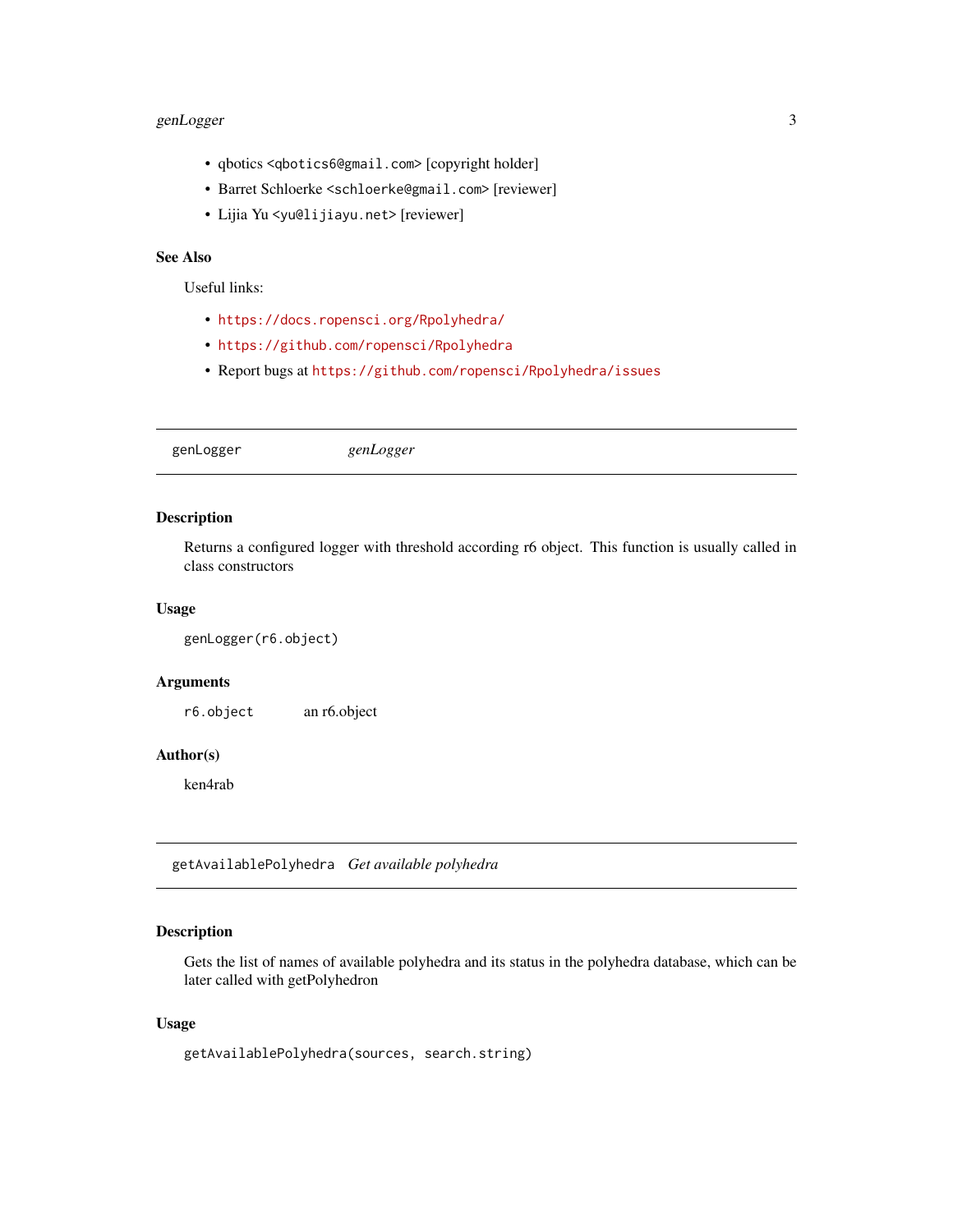# <span id="page-2-0"></span>genLogger 3

- qbotics <qbotics6@gmail.com> [copyright holder]
- Barret Schloerke <schloerke@gmail.com> [reviewer]
- Lijia Yu <yu@lijiayu.net> [reviewer]

# See Also

Useful links:

- <https://docs.ropensci.org/Rpolyhedra/>
- <https://github.com/ropensci/Rpolyhedra>
- Report bugs at <https://github.com/ropensci/Rpolyhedra/issues>

genLogger *genLogger*

# Description

Returns a configured logger with threshold according r6 object. This function is usually called in class constructors

# Usage

```
genLogger(r6.object)
```
#### Arguments

r6.object an r6.object

# Author(s)

ken4rab

getAvailablePolyhedra *Get available polyhedra*

# Description

Gets the list of names of available polyhedra and its status in the polyhedra database, which can be later called with getPolyhedron

#### Usage

```
getAvailablePolyhedra(sources, search.string)
```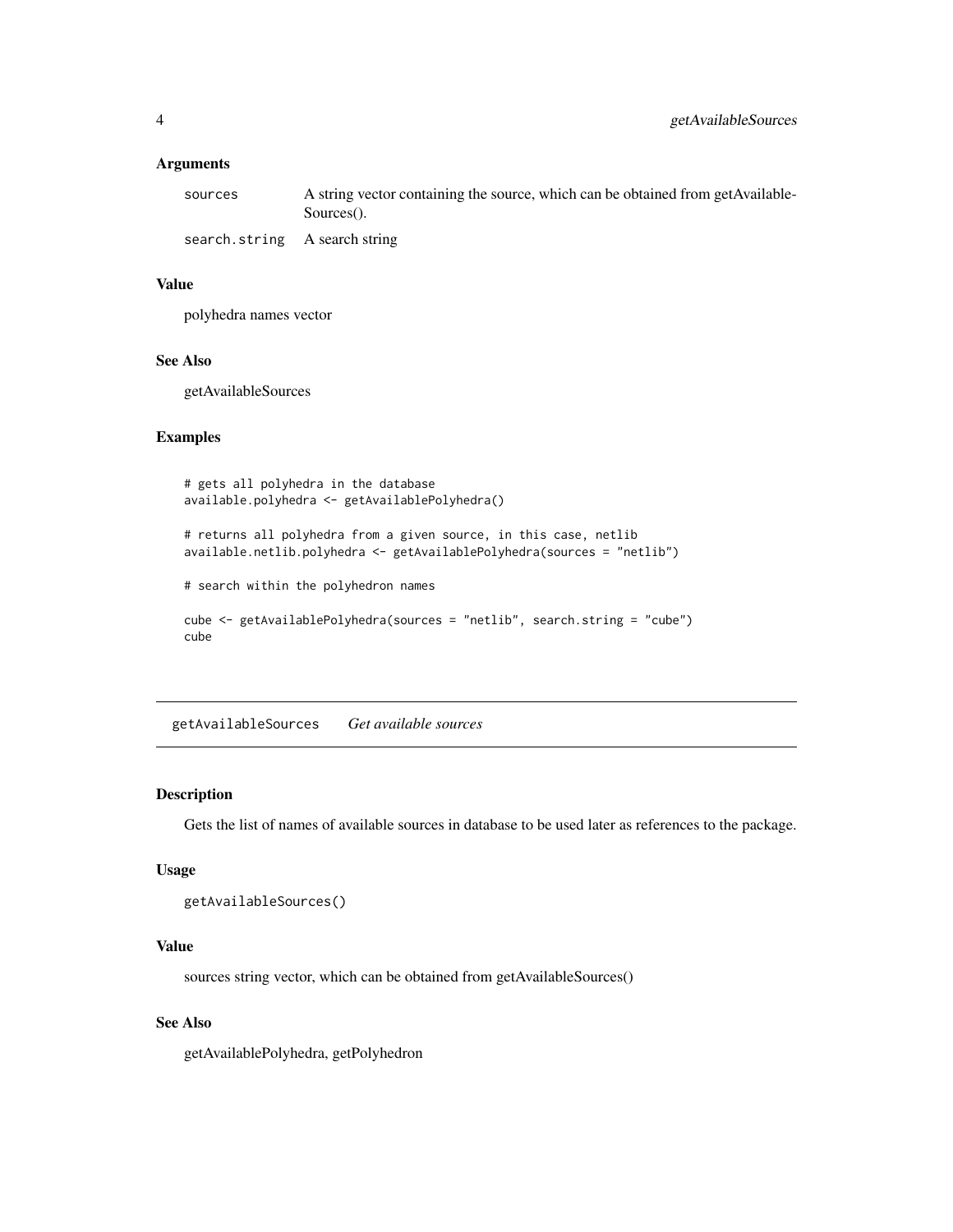#### <span id="page-3-0"></span>Arguments

| sources                       | A string vector containing the source, which can be obtained from getAvailable-<br>Sources(). |
|-------------------------------|-----------------------------------------------------------------------------------------------|
| search.string A search string |                                                                                               |

#### Value

polyhedra names vector

#### See Also

getAvailableSources

# Examples

```
# gets all polyhedra in the database
available.polyhedra <- getAvailablePolyhedra()
# returns all polyhedra from a given source, in this case, netlib
available.netlib.polyhedra <- getAvailablePolyhedra(sources = "netlib")
# search within the polyhedron names
cube <- getAvailablePolyhedra(sources = "netlib", search.string = "cube")
cube
```
getAvailableSources *Get available sources*

# Description

Gets the list of names of available sources in database to be used later as references to the package.

#### Usage

```
getAvailableSources()
```
# Value

sources string vector, which can be obtained from getAvailableSources()

#### See Also

getAvailablePolyhedra, getPolyhedron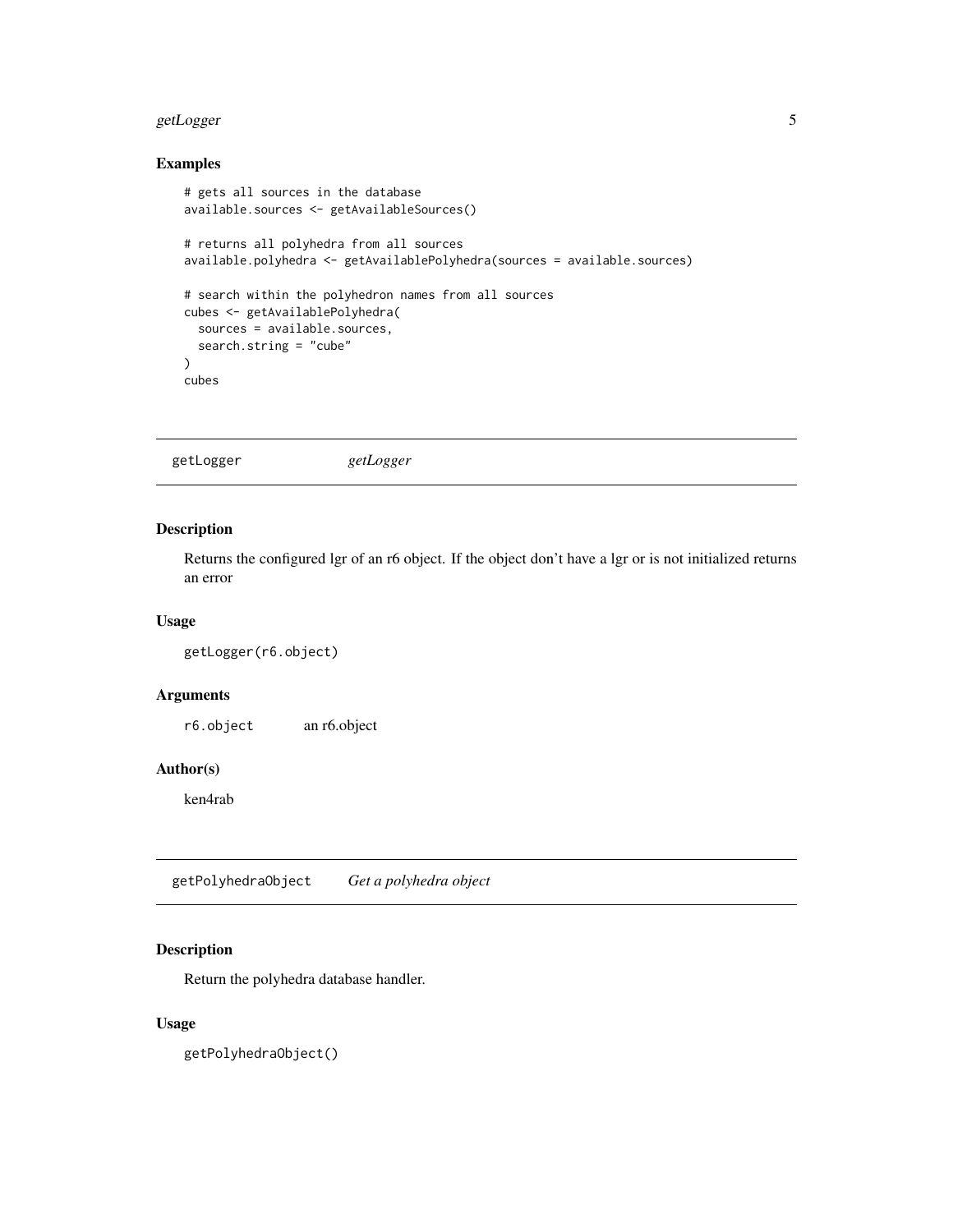# <span id="page-4-0"></span>getLogger 5

# Examples

```
# gets all sources in the database
available.sources <- getAvailableSources()
# returns all polyhedra from all sources
available.polyhedra <- getAvailablePolyhedra(sources = available.sources)
# search within the polyhedron names from all sources
cubes <- getAvailablePolyhedra(
  sources = available.sources,
 search.string = "cube"
\mathcal{L}cubes
```
# Description

Returns the configured lgr of an r6 object. If the object don't have a lgr or is not initialized returns an error

#### Usage

```
getLogger(r6.object)
```
# Arguments

r6.object an r6.object

# Author(s)

ken4rab

getPolyhedraObject *Get a polyhedra object*

# Description

Return the polyhedra database handler.

#### Usage

getPolyhedraObject()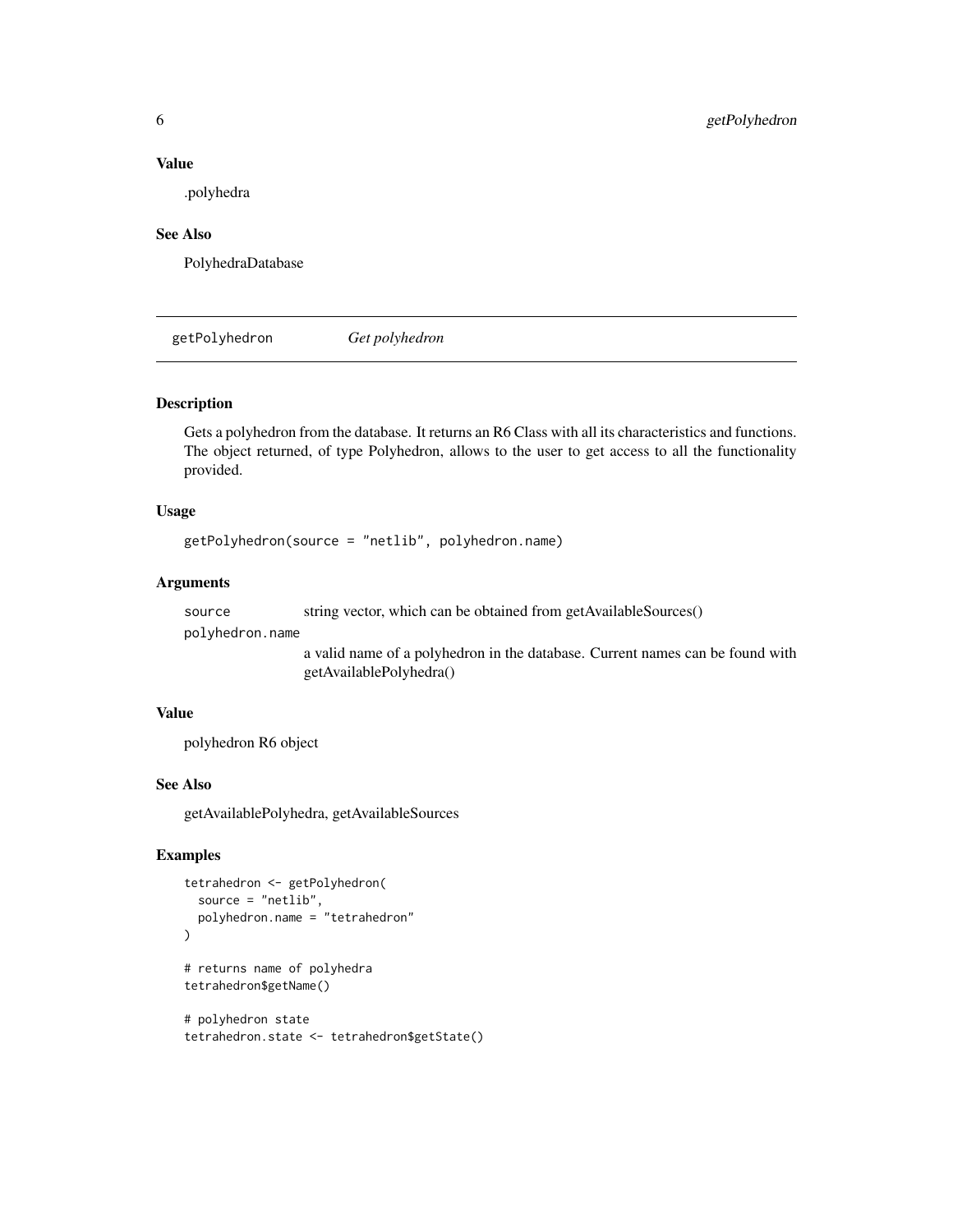#### Value

.polyhedra

#### See Also

PolyhedraDatabase

getPolyhedron *Get polyhedron*

# Description

Gets a polyhedron from the database. It returns an R6 Class with all its characteristics and functions. The object returned, of type Polyhedron, allows to the user to get access to all the functionality provided.

# Usage

```
getPolyhedron(source = "netlib", polyhedron.name)
```
#### Arguments

source string vector, which can be obtained from getAvailableSources()

polyhedron.name

a valid name of a polyhedron in the database. Current names can be found with getAvailablePolyhedra()

#### Value

polyhedron R6 object

## See Also

getAvailablePolyhedra, getAvailableSources

# Examples

```
tetrahedron <- getPolyhedron(
  source = "netlib",
  polyhedron.name = "tetrahedron"
\mathcal{L}# returns name of polyhedra
tetrahedron$getName()
```

```
# polyhedron state
tetrahedron.state <- tetrahedron$getState()
```
<span id="page-5-0"></span>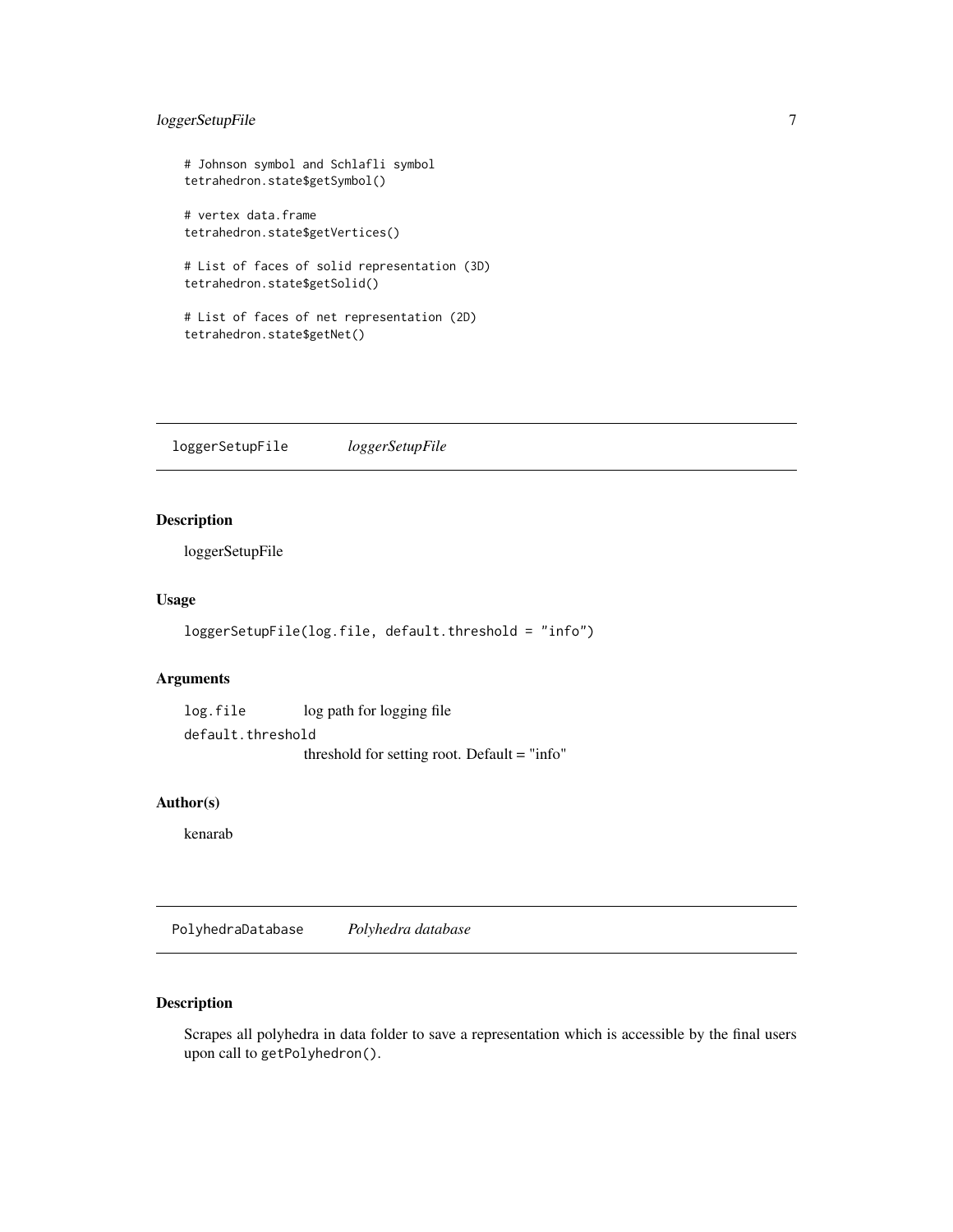# <span id="page-6-0"></span>loggerSetupFile 7

```
# Johnson symbol and Schlafli symbol
tetrahedron.state$getSymbol()
# vertex data.frame
tetrahedron.state$getVertices()
# List of faces of solid representation (3D)
tetrahedron.state$getSolid()
# List of faces of net representation (2D)
tetrahedron.state$getNet()
```
loggerSetupFile *loggerSetupFile*

#### Description

loggerSetupFile

# Usage

```
loggerSetupFile(log.file, default.threshold = "info")
```
# Arguments

log.file log path for logging file default.threshold threshold for setting root. Default = "info"

#### Author(s)

kenarab

PolyhedraDatabase *Polyhedra database*

# Description

Scrapes all polyhedra in data folder to save a representation which is accessible by the final users upon call to getPolyhedron().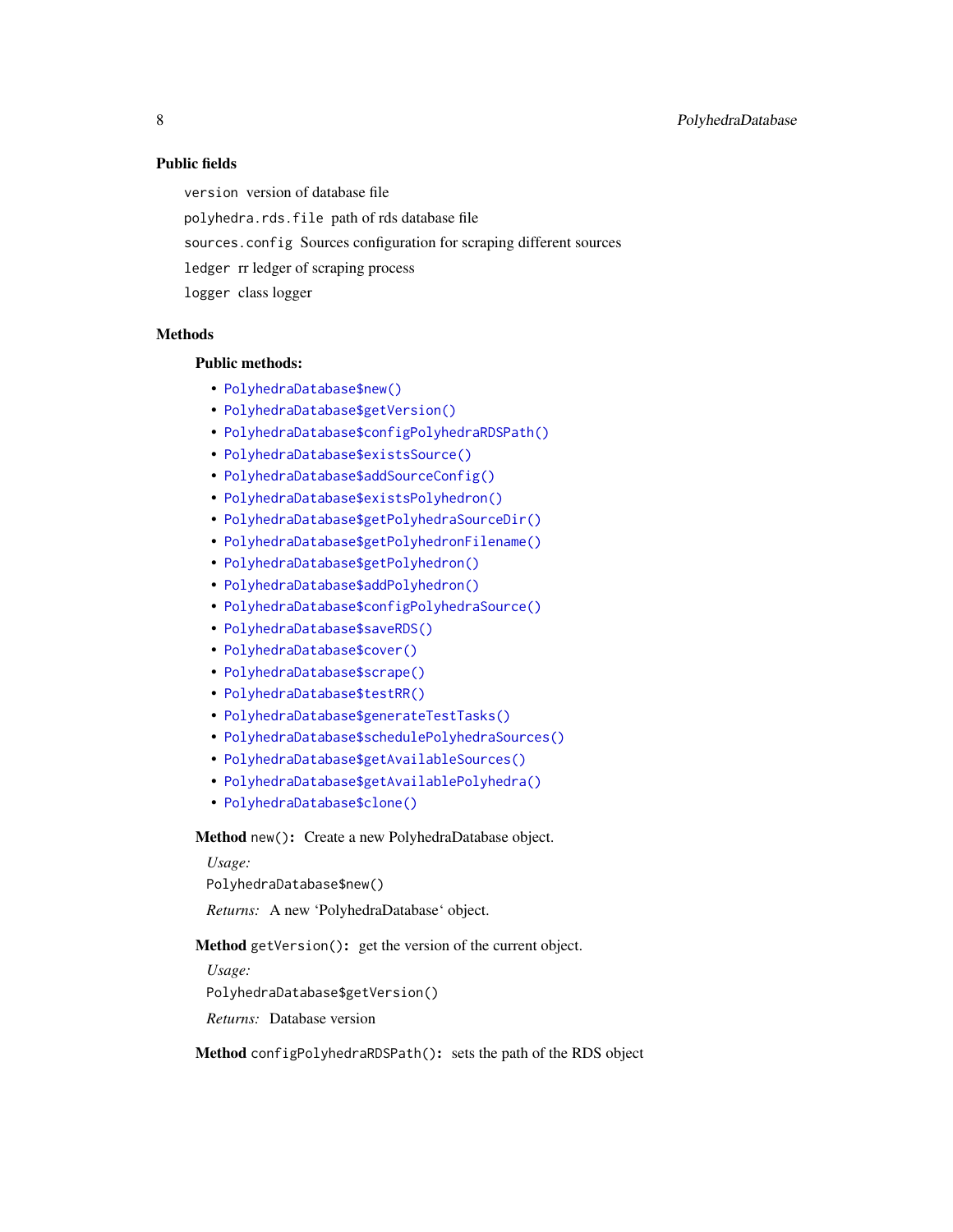# Public fields

version version of database file

polyhedra.rds.file path of rds database file

- sources.config Sources configuration for scraping different sources
- ledger rr ledger of scraping process

logger class logger

# **Methods**

# Public methods:

- [PolyhedraDatabase\\$new\(\)](#page-7-0)
- [PolyhedraDatabase\\$getVersion\(\)](#page-7-1)
- [PolyhedraDatabase\\$configPolyhedraRDSPath\(\)](#page-7-2)
- [PolyhedraDatabase\\$existsSource\(\)](#page-8-0)
- [PolyhedraDatabase\\$addSourceConfig\(\)](#page-8-1)
- [PolyhedraDatabase\\$existsPolyhedron\(\)](#page-8-2)
- [PolyhedraDatabase\\$getPolyhedraSourceDir\(\)](#page-8-3)
- [PolyhedraDatabase\\$getPolyhedronFilename\(\)](#page-8-4)
- [PolyhedraDatabase\\$getPolyhedron\(\)](#page-9-0)
- [PolyhedraDatabase\\$addPolyhedron\(\)](#page-9-1)
- [PolyhedraDatabase\\$configPolyhedraSource\(\)](#page-9-2)
- [PolyhedraDatabase\\$saveRDS\(\)](#page-10-0)
- [PolyhedraDatabase\\$cover\(\)](#page-10-1)
- [PolyhedraDatabase\\$scrape\(\)](#page-10-2)
- [PolyhedraDatabase\\$testRR\(\)](#page-11-0)
- [PolyhedraDatabase\\$generateTestTasks\(\)](#page-11-1)
- [PolyhedraDatabase\\$schedulePolyhedraSources\(\)](#page-11-2)
- [PolyhedraDatabase\\$getAvailableSources\(\)](#page-12-1)
- [PolyhedraDatabase\\$getAvailablePolyhedra\(\)](#page-12-2)
- [PolyhedraDatabase\\$clone\(\)](#page-12-3)

<span id="page-7-0"></span>Method new(): Create a new PolyhedraDatabase object.

## *Usage:*

PolyhedraDatabase\$new()

*Returns:* A new 'PolyhedraDatabase' object.

<span id="page-7-1"></span>Method getVersion(): get the version of the current object.

*Usage:*

PolyhedraDatabase\$getVersion()

*Returns:* Database version

<span id="page-7-2"></span>Method configPolyhedraRDSPath(): sets the path of the RDS object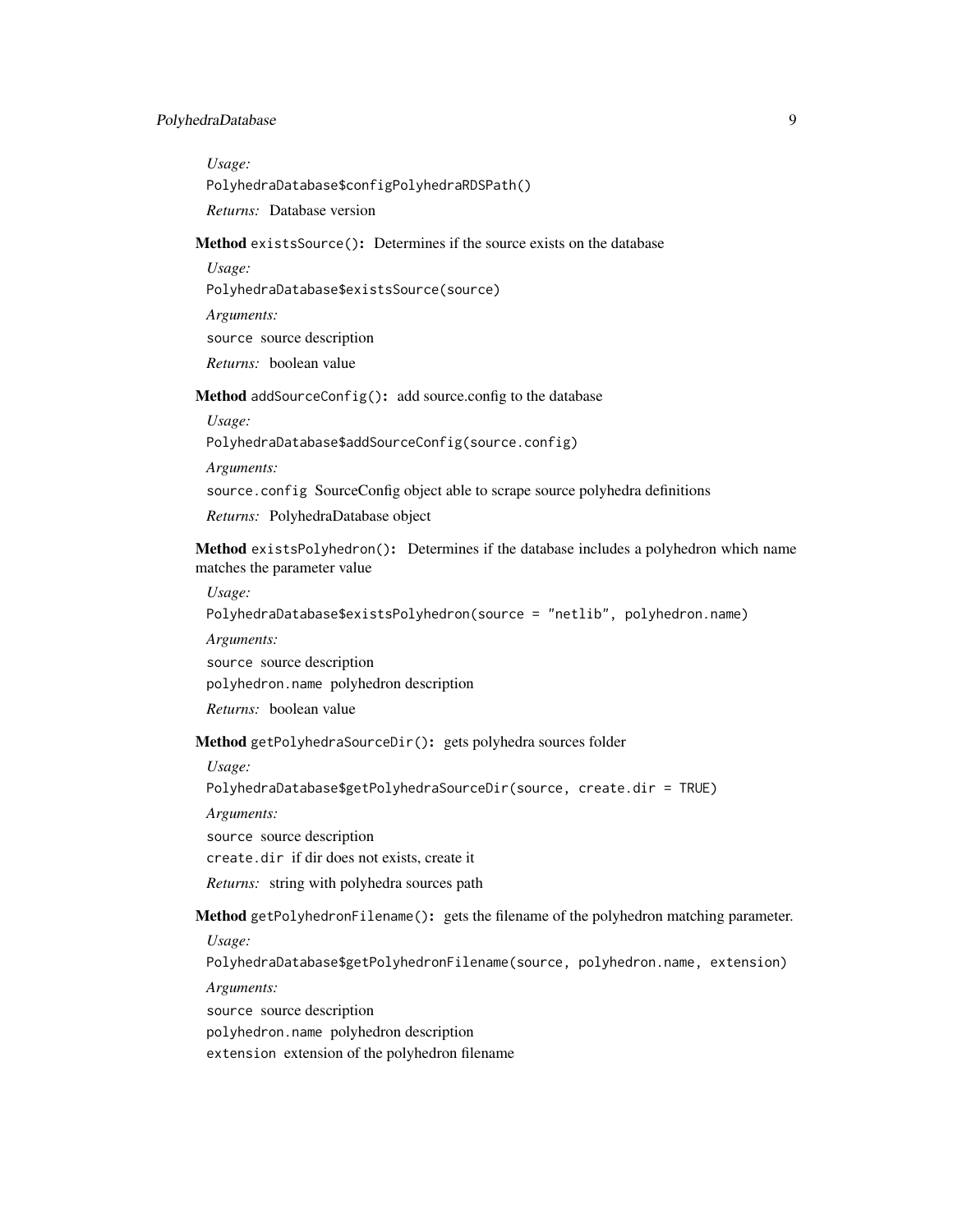# PolyhedraDatabase 9

*Usage:* PolyhedraDatabase\$configPolyhedraRDSPath() *Returns:* Database version

<span id="page-8-0"></span>Method existsSource(): Determines if the source exists on the database

*Usage:*

PolyhedraDatabase\$existsSource(source)

*Arguments:*

source source description

*Returns:* boolean value

<span id="page-8-1"></span>Method addSourceConfig(): add source.config to the database

*Usage:*

PolyhedraDatabase\$addSourceConfig(source.config)

*Arguments:*

source.config SourceConfig object able to scrape source polyhedra definitions

*Returns:* PolyhedraDatabase object

<span id="page-8-2"></span>Method existsPolyhedron(): Determines if the database includes a polyhedron which name matches the parameter value

*Usage:*

PolyhedraDatabase\$existsPolyhedron(source = "netlib", polyhedron.name)

*Arguments:*

source source description

polyhedron.name polyhedron description

*Returns:* boolean value

<span id="page-8-3"></span>Method getPolyhedraSourceDir(): gets polyhedra sources folder

*Usage:*

PolyhedraDatabase\$getPolyhedraSourceDir(source, create.dir = TRUE)

*Arguments:*

source source description

create.dir if dir does not exists, create it

*Returns:* string with polyhedra sources path

<span id="page-8-4"></span>Method getPolyhedronFilename(): gets the filename of the polyhedron matching parameter.

*Usage:*

PolyhedraDatabase\$getPolyhedronFilename(source, polyhedron.name, extension)

*Arguments:*

source source description

polyhedron.name polyhedron description

extension extension of the polyhedron filename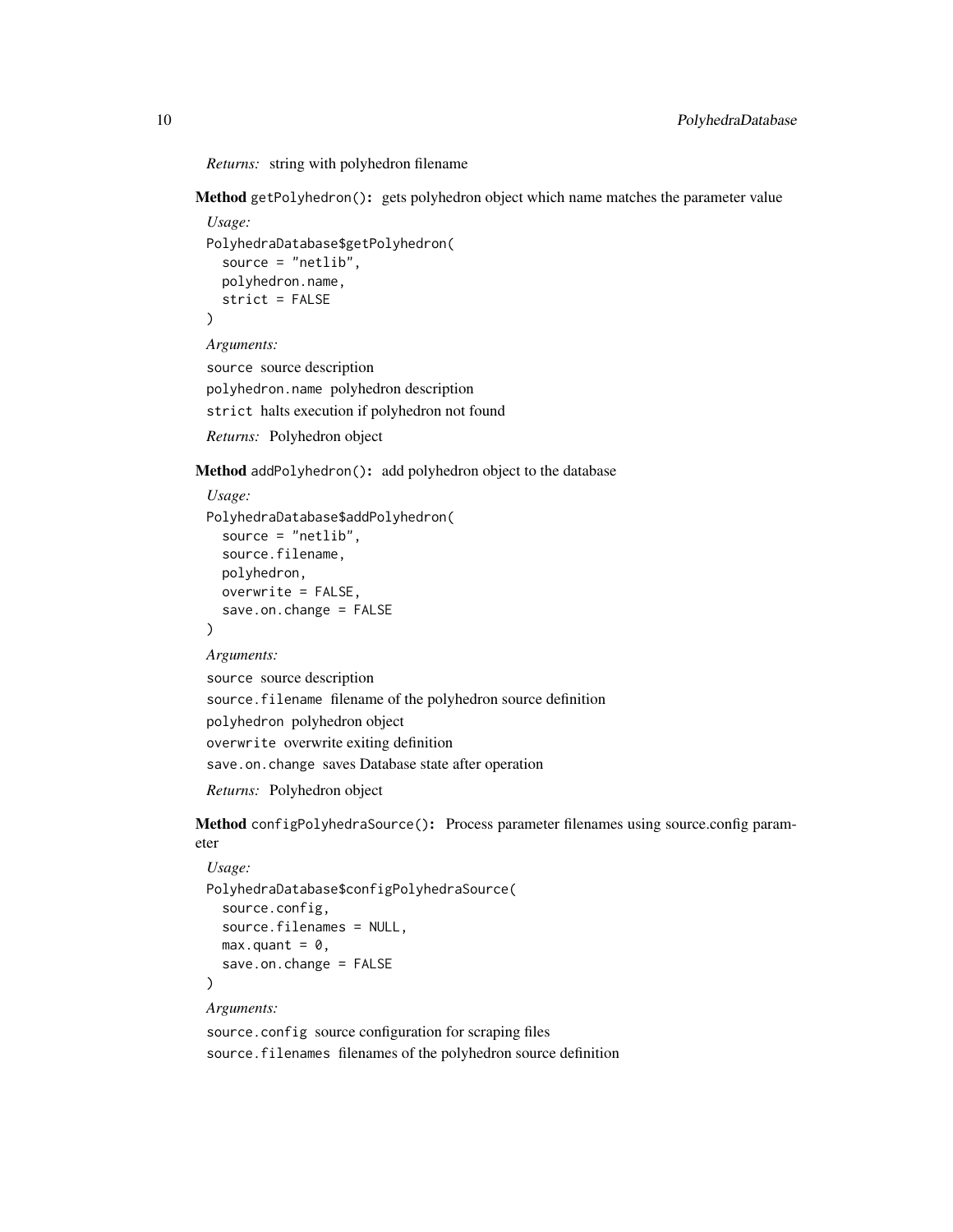*Returns:* string with polyhedron filename

<span id="page-9-0"></span>Method getPolyhedron(): gets polyhedron object which name matches the parameter value

```
Usage:
PolyhedraDatabase$getPolyhedron(
  source = "netlib",
  polyhedron.name,
  strict = FALSE
\mathcal{L}Arguments:
```
source source description polyhedron.name polyhedron description strict halts execution if polyhedron not found

*Returns:* Polyhedron object

<span id="page-9-1"></span>Method addPolyhedron(): add polyhedron object to the database

```
Usage:
PolyhedraDatabase$addPolyhedron(
  source = "netlib",
  source.filename,
 polyhedron,
 overwrite = FALSE,
  save.on.change = FALSE
)
```
*Arguments:*

```
source source description
source.filename filename of the polyhedron source definition
polyhedron polyhedron object
overwrite overwrite exiting definition
save.on.change saves Database state after operation
```
*Returns:* Polyhedron object

<span id="page-9-2"></span>Method configPolyhedraSource(): Process parameter filenames using source.config parameter

```
Usage:
PolyhedraDatabase$configPolyhedraSource(
  source.config,
 source.filenames = NULL,
 max.quant = \theta,
  save.on.change = FALSE
)
```
*Arguments:*

source.config source configuration for scraping files source.filenames filenames of the polyhedron source definition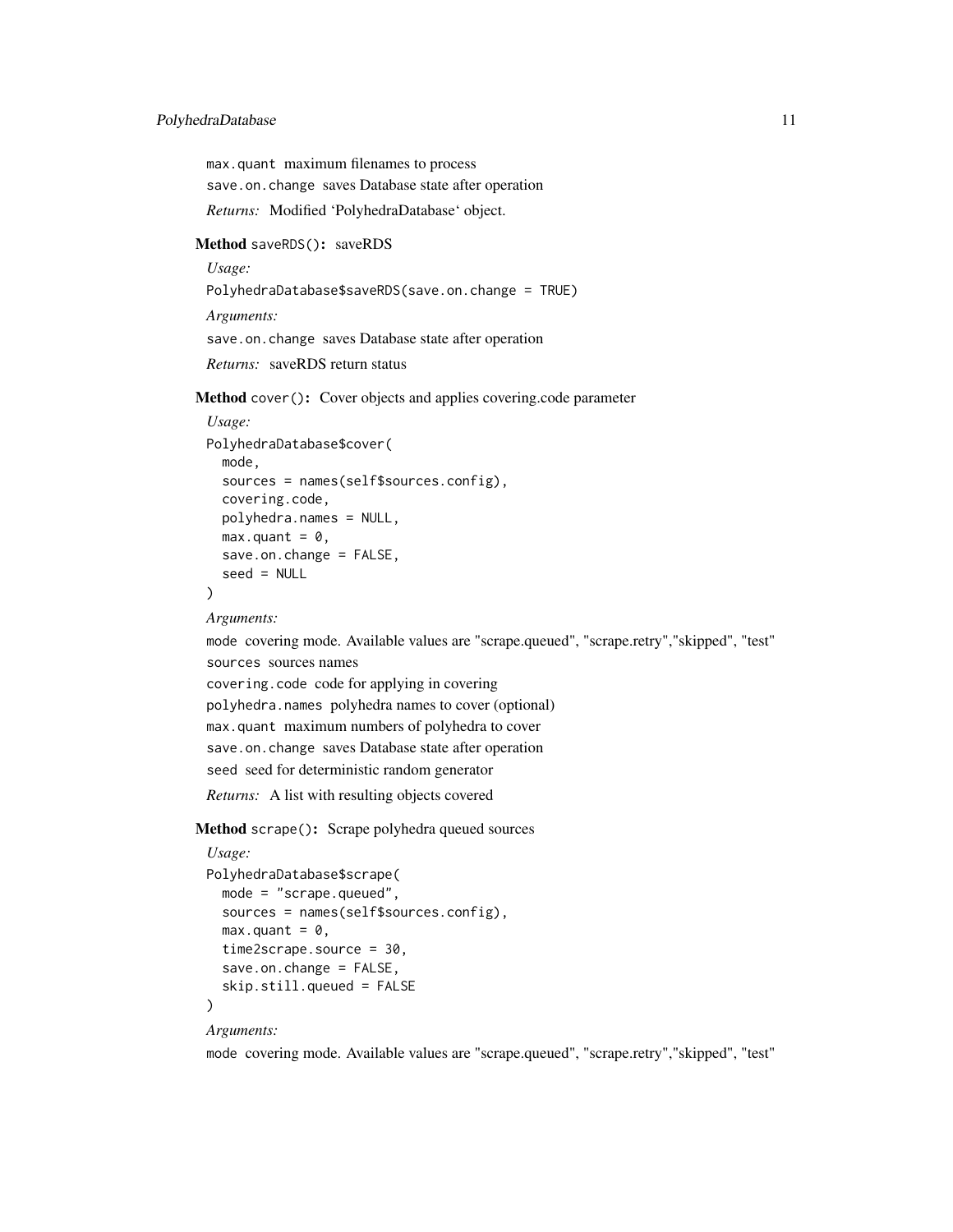# PolyhedraDatabase 11

max.quant maximum filenames to process save.on.change saves Database state after operation *Returns:* Modified 'PolyhedraDatabase' object.

#### <span id="page-10-0"></span>Method saveRDS(): saveRDS

*Usage:*

PolyhedraDatabase\$saveRDS(save.on.change = TRUE)

*Arguments:* save.on.change saves Database state after operation *Returns:* saveRDS return status

<span id="page-10-1"></span>Method cover(): Cover objects and applies covering.code parameter

```
Usage:
PolyhedraDatabase$cover(
 mode,
  sources = names(self$sources.config),
 covering.code,
 polyhedra.names = NULL,
 max.quant = \theta,
 save.on.change = FALSE,
  seed = NULL
)
```
#### *Arguments:*

mode covering mode. Available values are "scrape.queued", "scrape.retry","skipped", "test" sources sources names covering.code code for applying in covering polyhedra.names polyhedra names to cover (optional) max.quant maximum numbers of polyhedra to cover save.on.change saves Database state after operation seed seed for deterministic random generator *Returns:* A list with resulting objects covered

<span id="page-10-2"></span>Method scrape(): Scrape polyhedra queued sources

```
Usage:
PolyhedraDatabase$scrape(
 mode = "scrape.queued",
 sources = names(self$sources.config),
 max.quant = \theta,
 time2scrape.source = 30,
  save.on.change = FALSE,
  skip.still.queued = FALSE
)
```
#### *Arguments:*

mode covering mode. Available values are "scrape.queued", "scrape.retry","skipped", "test"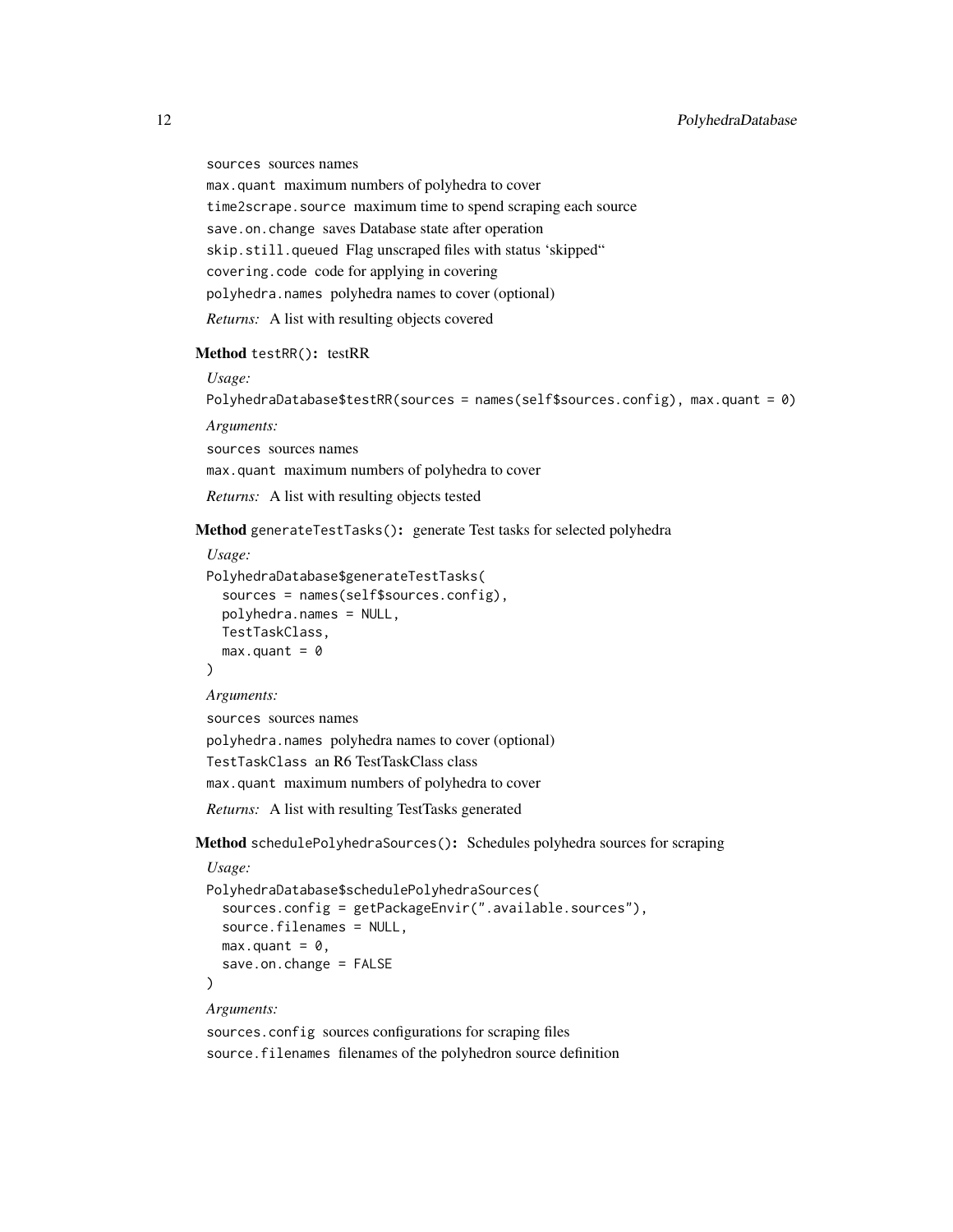sources sources names

max.quant maximum numbers of polyhedra to cover

time2scrape.source maximum time to spend scraping each source

save.on.change saves Database state after operation

skip.still.queued Flag unscraped files with status 'skipped"

covering.code code for applying in covering

polyhedra.names polyhedra names to cover (optional)

*Returns:* A list with resulting objects covered

#### <span id="page-11-0"></span>Method testRR(): testRR

*Usage:*

PolyhedraDatabase\$testRR(sources = names(self\$sources.config), max.quant = 0)

*Arguments:*

sources sources names

max.quant maximum numbers of polyhedra to cover

*Returns:* A list with resulting objects tested

<span id="page-11-1"></span>Method generateTestTasks(): generate Test tasks for selected polyhedra

```
Usage:
```

```
PolyhedraDatabase$generateTestTasks(
  sources = names(self$sources.config),
 polyhedra.names = NULL,
 TestTaskClass,
  max.quant = 0
)
```
*Arguments:*

```
sources sources names
polyhedra.names polyhedra names to cover (optional)
TestTaskClass an R6 TestTaskClass class
max.quant maximum numbers of polyhedra to cover
Returns: A list with resulting TestTasks generated
```
<span id="page-11-2"></span>Method schedulePolyhedraSources(): Schedules polyhedra sources for scraping

```
Usage:
PolyhedraDatabase$schedulePolyhedraSources(
  sources.config = getPackageEnvir(".available.sources"),
  source.filenames = NULL,
 max.quant = \theta,
  save.on.change = FALSE
\lambda
```
*Arguments:*

sources.config sources configurations for scraping files source.filenames filenames of the polyhedron source definition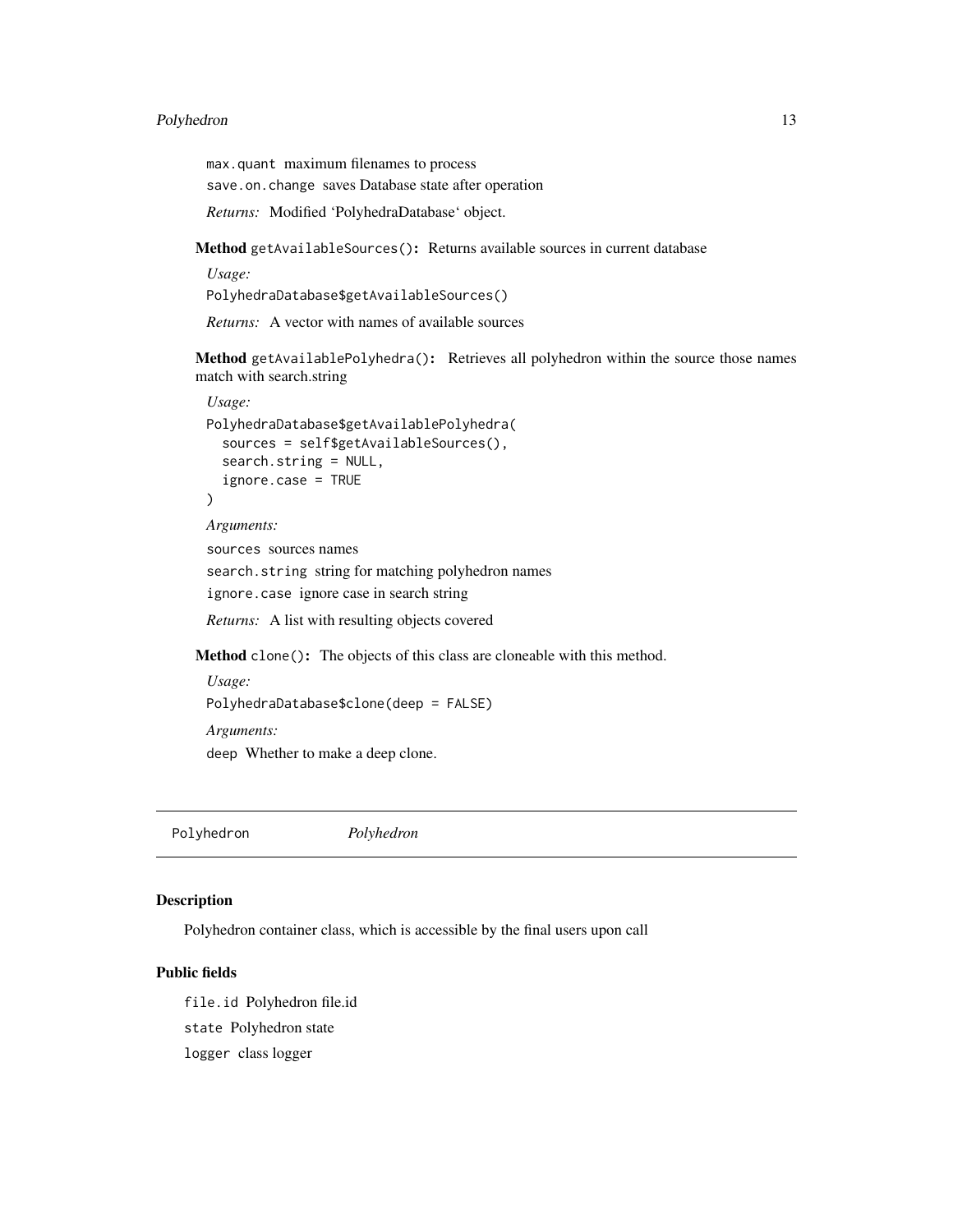# <span id="page-12-0"></span>Polyhedron 13

max.quant maximum filenames to process save.on.change saves Database state after operation *Returns:* Modified 'PolyhedraDatabase' object.

<span id="page-12-1"></span>Method getAvailableSources(): Returns available sources in current database

*Usage:*

PolyhedraDatabase\$getAvailableSources()

*Returns:* A vector with names of available sources

<span id="page-12-2"></span>Method getAvailablePolyhedra(): Retrieves all polyhedron within the source those names match with search.string

```
Usage:
PolyhedraDatabase$getAvailablePolyhedra(
  sources = self$getAvailableSources(),
  search.string = NULL,
  ignore.case = TRUE
)
```
*Arguments:*

sources sources names search.string string for matching polyhedron names ignore.case ignore case in search string

*Returns:* A list with resulting objects covered

<span id="page-12-3"></span>Method clone(): The objects of this class are cloneable with this method.

```
Usage:
PolyhedraDatabase$clone(deep = FALSE)
Arguments:
deep Whether to make a deep clone.
```
Polyhedron *Polyhedron*

# Description

Polyhedron container class, which is accessible by the final users upon call

#### Public fields

file.id Polyhedron file.id state Polyhedron state logger class logger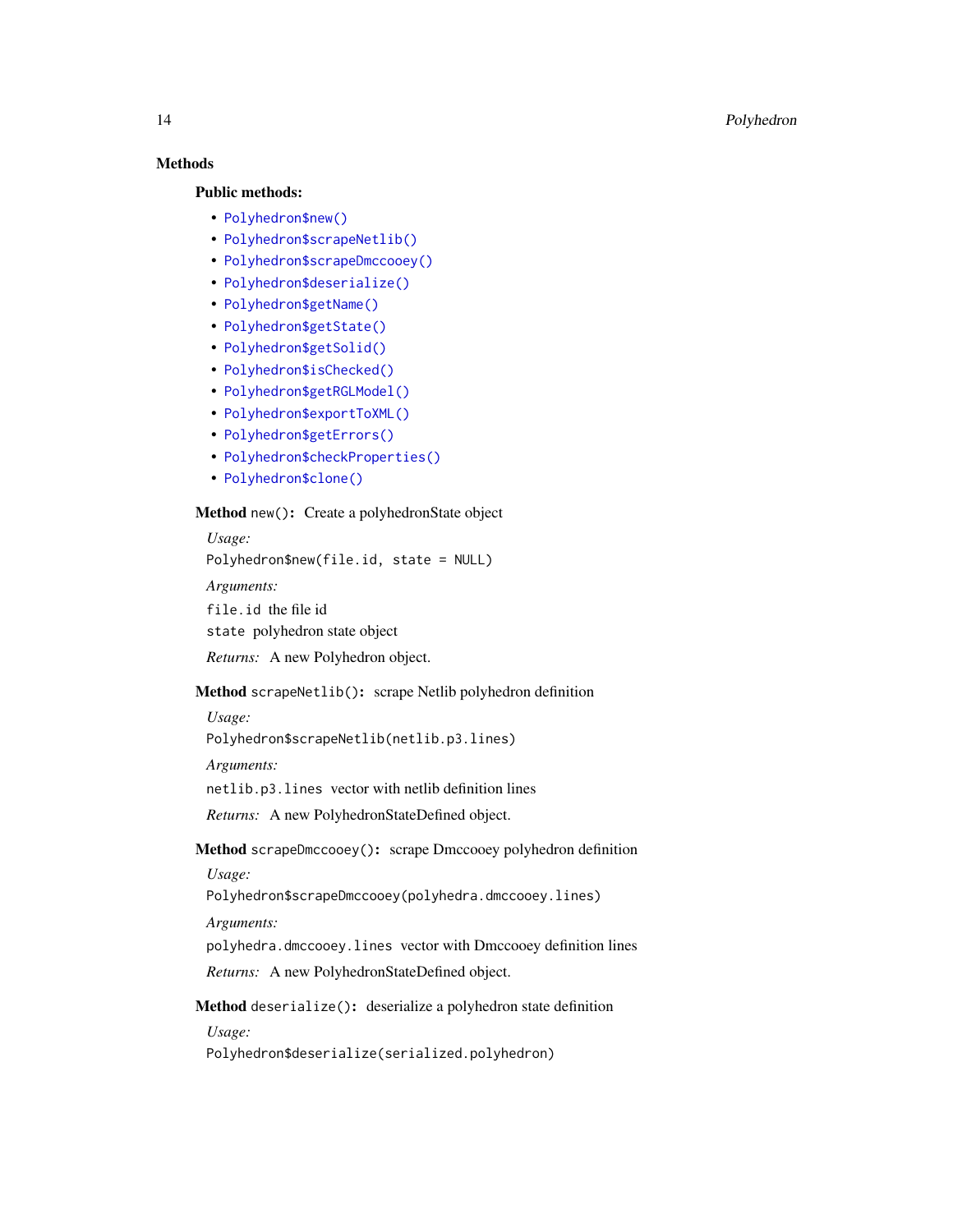# **Methods**

#### Public methods:

- [Polyhedron\\$new\(\)](#page-13-0)
- [Polyhedron\\$scrapeNetlib\(\)](#page-13-1)
- [Polyhedron\\$scrapeDmccooey\(\)](#page-13-2)
- [Polyhedron\\$deserialize\(\)](#page-13-3)
- [Polyhedron\\$getName\(\)](#page-14-0)
- [Polyhedron\\$getState\(\)](#page-14-1)
- [Polyhedron\\$getSolid\(\)](#page-14-2)
- [Polyhedron\\$isChecked\(\)](#page-14-3)
- [Polyhedron\\$getRGLModel\(\)](#page-14-4)
- [Polyhedron\\$exportToXML\(\)](#page-14-5)
- [Polyhedron\\$getErrors\(\)](#page-14-6)
- [Polyhedron\\$checkProperties\(\)](#page-14-7)
- [Polyhedron\\$clone\(\)](#page-15-1)

# <span id="page-13-0"></span>Method new(): Create a polyhedronState object

*Usage:* Polyhedron\$new(file.id, state = NULL) *Arguments:* file.id the file id state polyhedron state object

*Returns:* A new Polyhedron object.

# <span id="page-13-1"></span>Method scrapeNetlib(): scrape Netlib polyhedron definition

*Usage:* Polyhedron\$scrapeNetlib(netlib.p3.lines)

*Arguments:*

netlib.p3.lines vector with netlib definition lines

*Returns:* A new PolyhedronStateDefined object.

<span id="page-13-2"></span>Method scrapeDmccooey(): scrape Dmccooey polyhedron definition

*Usage:*

Polyhedron\$scrapeDmccooey(polyhedra.dmccooey.lines)

*Arguments:*

polyhedra.dmccooey.lines vector with Dmccooey definition lines

*Returns:* A new PolyhedronStateDefined object.

<span id="page-13-3"></span>Method deserialize(): deserialize a polyhedron state definition *Usage:*

Polyhedron\$deserialize(serialized.polyhedron)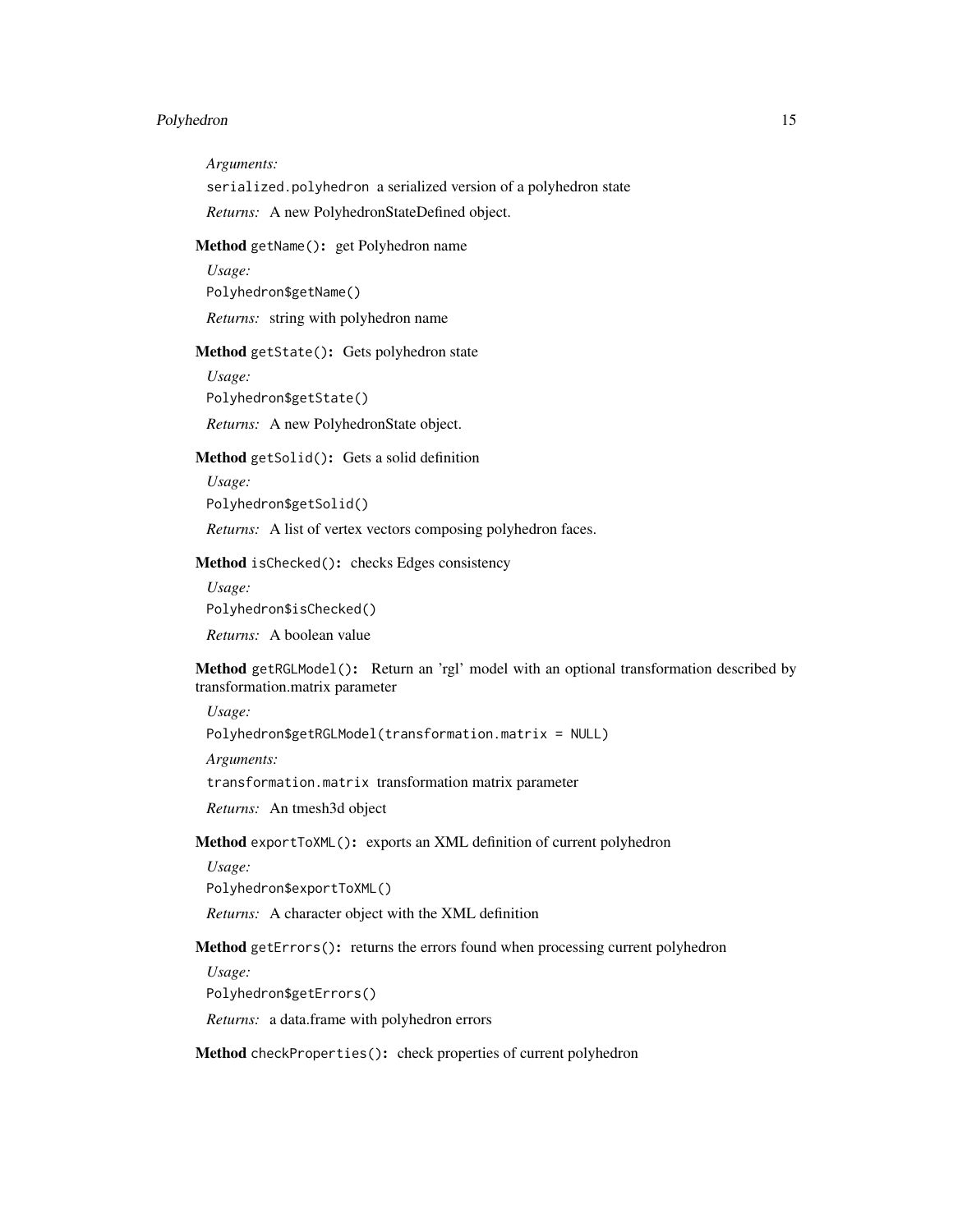# Polyhedron 15

*Arguments:*

serialized.polyhedron a serialized version of a polyhedron state

*Returns:* A new PolyhedronStateDefined object.

#### <span id="page-14-0"></span>Method getName(): get Polyhedron name

*Usage:*

Polyhedron\$getName()

*Returns:* string with polyhedron name

#### <span id="page-14-1"></span>Method getState(): Gets polyhedron state

*Usage:*

Polyhedron\$getState()

*Returns:* A new PolyhedronState object.

#### <span id="page-14-2"></span>Method getSolid(): Gets a solid definition

*Usage:*

Polyhedron\$getSolid()

*Returns:* A list of vertex vectors composing polyhedron faces.

# <span id="page-14-3"></span>Method isChecked(): checks Edges consistency

*Usage:* Polyhedron\$isChecked() *Returns:* A boolean value

<span id="page-14-4"></span>Method getRGLModel(): Return an 'rgl' model with an optional transformation described by transformation.matrix parameter

#### *Usage:*

Polyhedron\$getRGLModel(transformation.matrix = NULL)

*Arguments:*

transformation.matrix transformation matrix parameter

*Returns:* An tmesh3d object

<span id="page-14-5"></span>Method exportToXML(): exports an XML definition of current polyhedron

*Usage:*

Polyhedron\$exportToXML()

*Returns:* A character object with the XML definition

<span id="page-14-6"></span>Method getErrors(): returns the errors found when processing current polyhedron

*Usage:*

Polyhedron\$getErrors()

*Returns:* a data.frame with polyhedron errors

<span id="page-14-7"></span>Method checkProperties(): check properties of current polyhedron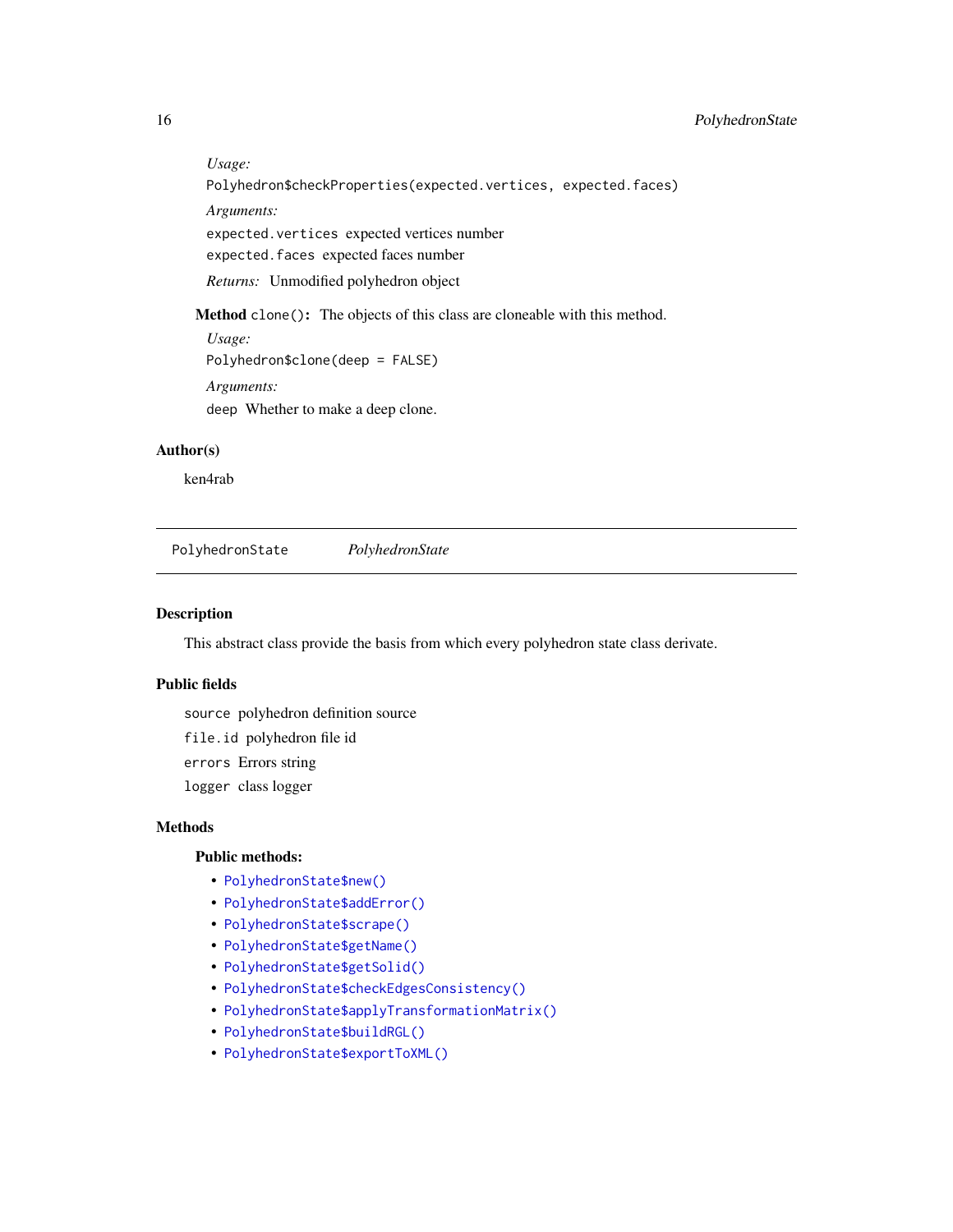#### *Usage:*

```
Polyhedron$checkProperties(expected.vertices, expected.faces)
```
*Arguments:*

expected.vertices expected vertices number

expected.faces expected faces number

*Returns:* Unmodified polyhedron object

<span id="page-15-1"></span>Method clone(): The objects of this class are cloneable with this method.

*Usage:* Polyhedron\$clone(deep = FALSE) *Arguments:*

deep Whether to make a deep clone.

#### Author(s)

ken4rab

PolyhedronState *PolyhedronState*

#### Description

This abstract class provide the basis from which every polyhedron state class derivate.

#### Public fields

source polyhedron definition source file.id polyhedron file id errors Errors string logger class logger

#### Methods

#### Public methods:

- [PolyhedronState\\$new\(\)](#page-16-0)
- [PolyhedronState\\$addError\(\)](#page-16-1)
- [PolyhedronState\\$scrape\(\)](#page-16-2)
- [PolyhedronState\\$getName\(\)](#page-16-3)
- [PolyhedronState\\$getSolid\(\)](#page-16-4)
- [PolyhedronState\\$checkEdgesConsistency\(\)](#page-16-5)
- [PolyhedronState\\$applyTransformationMatrix\(\)](#page-16-6)
- [PolyhedronState\\$buildRGL\(\)](#page-16-7)
- [PolyhedronState\\$exportToXML\(\)](#page-17-1)

<span id="page-15-0"></span>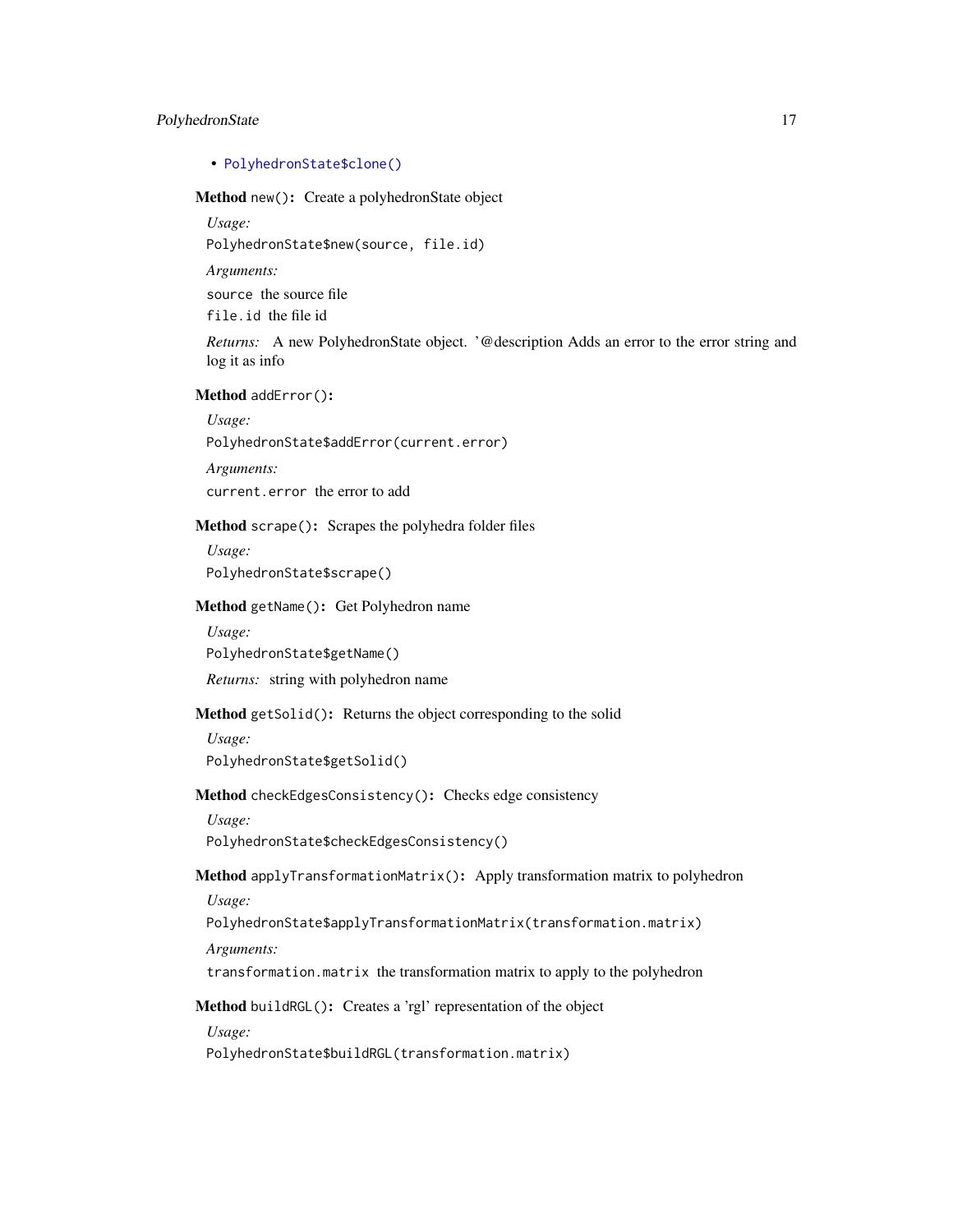#### PolyhedronState 17

# • [PolyhedronState\\$clone\(\)](#page-17-2)

# <span id="page-16-0"></span>Method new(): Create a polyhedronState object

*Usage:*

PolyhedronState\$new(source, file.id)

*Arguments:*

source the source file

file.id the file id

*Returns:* A new PolyhedronState object. '@description Adds an error to the error string and log it as info

<span id="page-16-1"></span>Method addError():

*Usage:*

PolyhedronState\$addError(current.error)

*Arguments:*

current.error the error to add

<span id="page-16-2"></span>Method scrape(): Scrapes the polyhedra folder files

*Usage:* PolyhedronState\$scrape()

#### <span id="page-16-3"></span>Method getName(): Get Polyhedron name

*Usage:*

PolyhedronState\$getName()

*Returns:* string with polyhedron name

#### <span id="page-16-4"></span>Method getSolid(): Returns the object corresponding to the solid

*Usage:* PolyhedronState\$getSolid()

<span id="page-16-5"></span>Method checkEdgesConsistency(): Checks edge consistency

*Usage:*

PolyhedronState\$checkEdgesConsistency()

<span id="page-16-6"></span>Method applyTransformationMatrix(): Apply transformation matrix to polyhedron *Usage:*

PolyhedronState\$applyTransformationMatrix(transformation.matrix)

*Arguments:*

transformation.matrix the transformation matrix to apply to the polyhedron

<span id="page-16-7"></span>Method buildRGL(): Creates a 'rgl' representation of the object

*Usage:*

PolyhedronState\$buildRGL(transformation.matrix)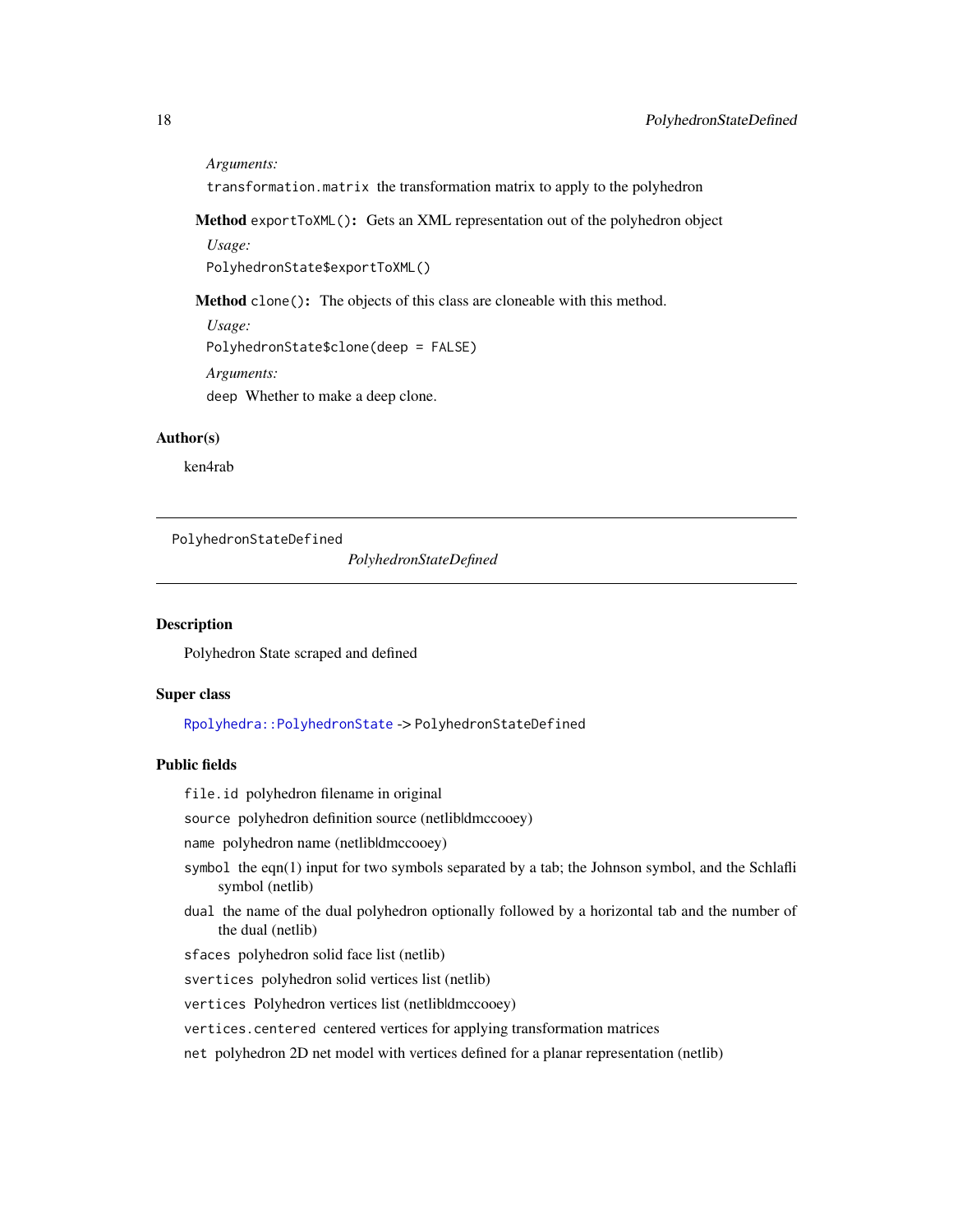<span id="page-17-0"></span>*Arguments:*

transformation.matrix the transformation matrix to apply to the polyhedron

<span id="page-17-1"></span>Method exportToXML(): Gets an XML representation out of the polyhedron object

*Usage:*

PolyhedronState\$exportToXML()

<span id="page-17-2"></span>Method clone(): The objects of this class are cloneable with this method.

*Usage:*

PolyhedronState\$clone(deep = FALSE)

*Arguments:*

deep Whether to make a deep clone.

#### Author(s)

ken4rab

PolyhedronStateDefined

*PolyhedronStateDefined*

#### Description

Polyhedron State scraped and defined

#### Super class

[Rpolyhedra::PolyhedronState](#page-0-0) -> PolyhedronStateDefined

#### Public fields

file.id polyhedron filename in original

source polyhedron definition source (netlibldmccooey)

name polyhedron name (netlibldmccooey)

- symbol the eqn $(1)$  input for two symbols separated by a tab; the Johnson symbol, and the Schlafli symbol (netlib)
- dual the name of the dual polyhedron optionally followed by a horizontal tab and the number of the dual (netlib)

sfaces polyhedron solid face list (netlib)

svertices polyhedron solid vertices list (netlib)

vertices Polyhedron vertices list (netlibldmccooey)

vertices.centered centered vertices for applying transformation matrices

net polyhedron 2D net model with vertices defined for a planar representation (netlib)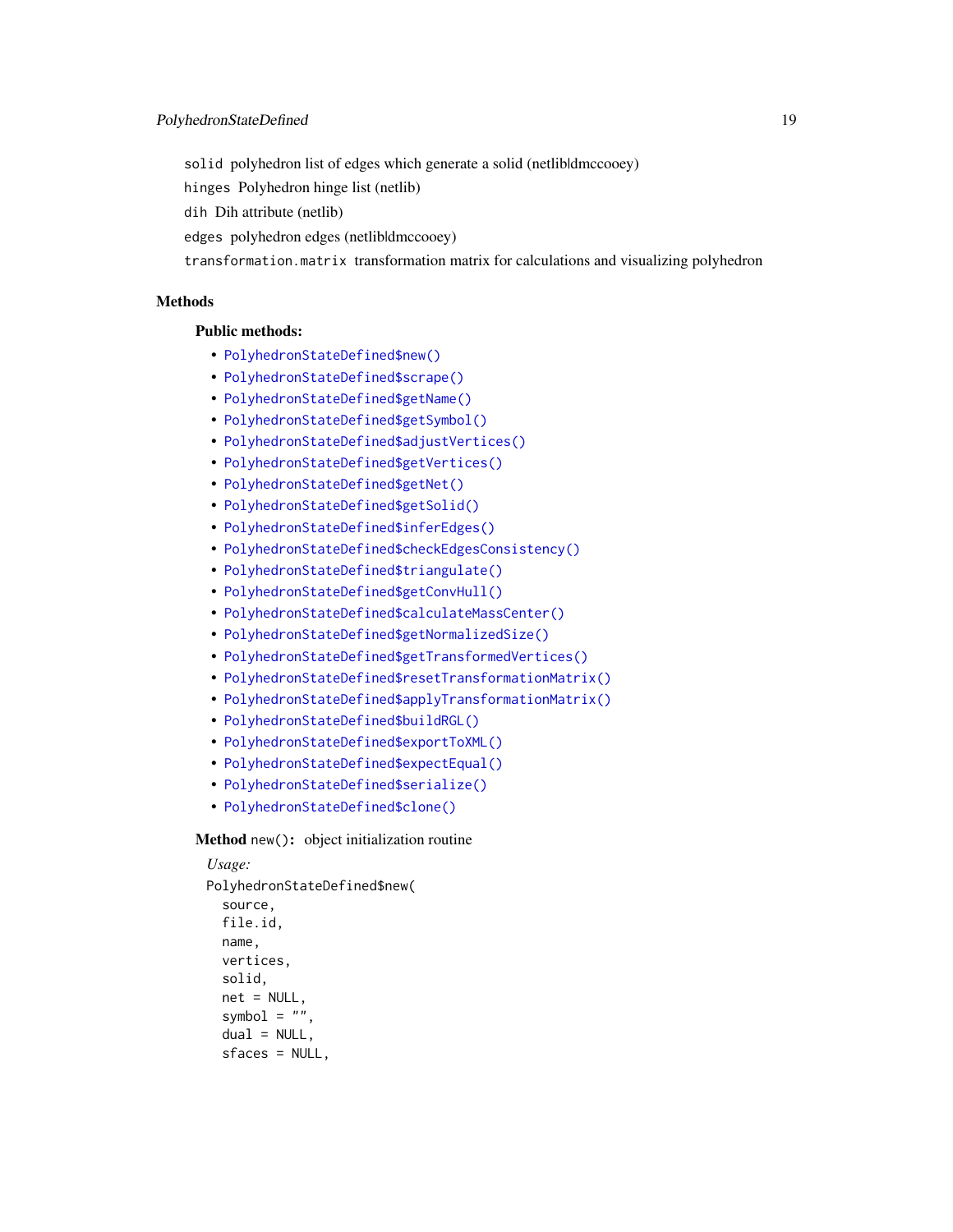solid polyhedron list of edges which generate a solid (netlibldmccooey)

hinges Polyhedron hinge list (netlib)

dih Dih attribute (netlib)

edges polyhedron edges (netlib|dmccooey)

transformation.matrix transformation matrix for calculations and visualizing polyhedron

# Methods

#### Public methods:

- [PolyhedronStateDefined\\$new\(\)](#page-18-0)
- [PolyhedronStateDefined\\$scrape\(\)](#page-19-0)
- [PolyhedronStateDefined\\$getName\(\)](#page-19-1)
- [PolyhedronStateDefined\\$getSymbol\(\)](#page-19-2)
- [PolyhedronStateDefined\\$adjustVertices\(\)](#page-19-3)
- [PolyhedronStateDefined\\$getVertices\(\)](#page-19-4)
- [PolyhedronStateDefined\\$getNet\(\)](#page-20-0)
- [PolyhedronStateDefined\\$getSolid\(\)](#page-20-1)
- [PolyhedronStateDefined\\$inferEdges\(\)](#page-20-2)
- [PolyhedronStateDefined\\$checkEdgesConsistency\(\)](#page-20-3)
- [PolyhedronStateDefined\\$triangulate\(\)](#page-20-4)
- [PolyhedronStateDefined\\$getConvHull\(\)](#page-20-5)
- [PolyhedronStateDefined\\$calculateMassCenter\(\)](#page-20-6)
- [PolyhedronStateDefined\\$getNormalizedSize\(\)](#page-21-0)
- [PolyhedronStateDefined\\$getTransformedVertices\(\)](#page-21-1)
- [PolyhedronStateDefined\\$resetTransformationMatrix\(\)](#page-21-2)
- [PolyhedronStateDefined\\$applyTransformationMatrix\(\)](#page-21-3)
- [PolyhedronStateDefined\\$buildRGL\(\)](#page-21-4)
- [PolyhedronStateDefined\\$exportToXML\(\)](#page-21-5)
- [PolyhedronStateDefined\\$expectEqual\(\)](#page-22-1)
- [PolyhedronStateDefined\\$serialize\(\)](#page-22-2)
- [PolyhedronStateDefined\\$clone\(\)](#page-22-3)

#### <span id="page-18-0"></span>Method new(): object initialization routine

```
Usage:
PolyhedronStateDefined$new(
  source,
 file.id,
 name,
  vertices,
  solid,
  net = NULL,symbol = ",
  dual = NULL,sfaces = NULL,
```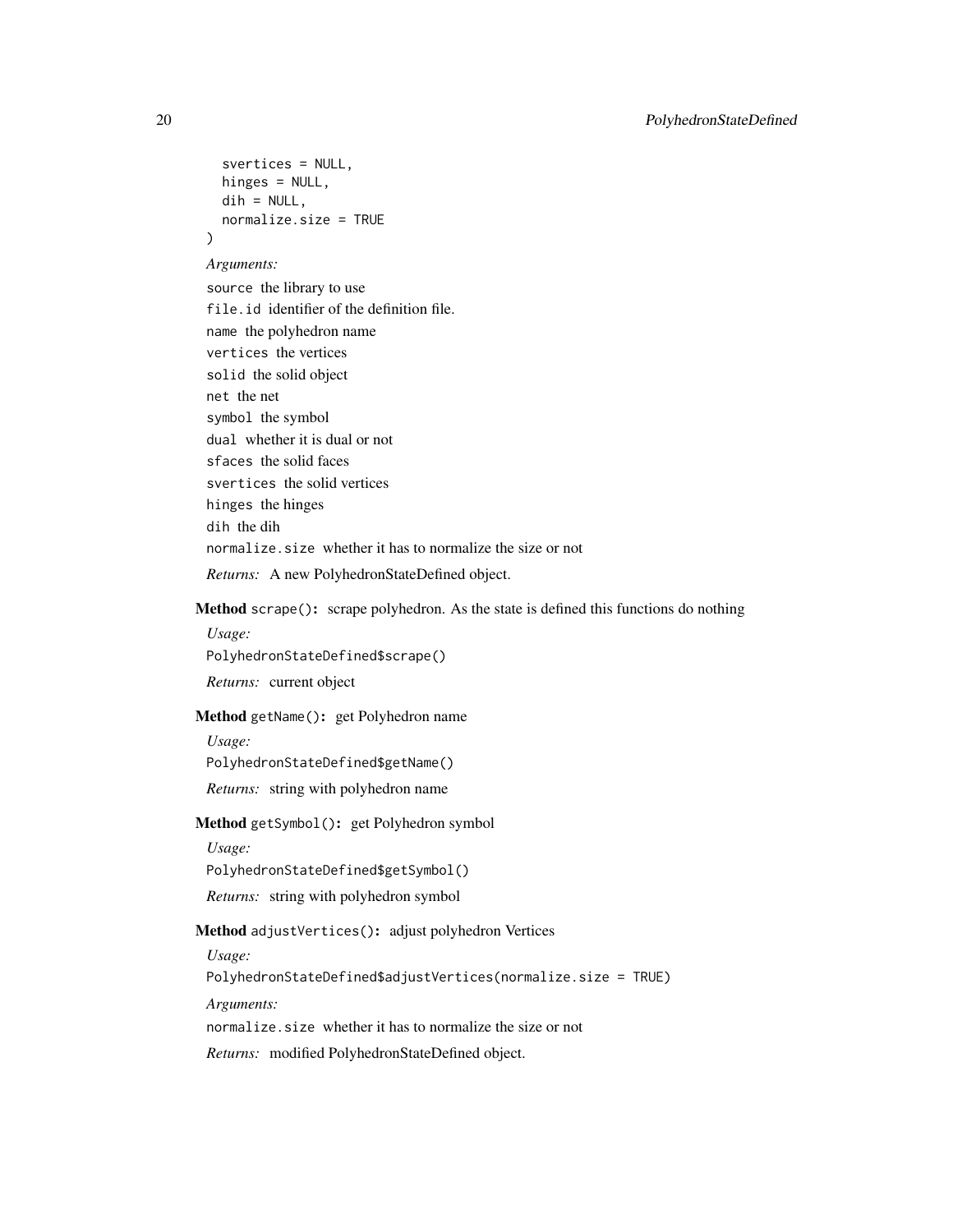```
svertices = NULL,
 hinges = NULL,
 dih = NULL,normalize.size = TRUE
)
```
*Arguments:*

source the library to use file.id identifier of the definition file. name the polyhedron name vertices the vertices solid the solid object net the net symbol the symbol dual whether it is dual or not sfaces the solid faces svertices the solid vertices hinges the hinges dih the dih normalize.size whether it has to normalize the size or not *Returns:* A new PolyhedronStateDefined object.

<span id="page-19-0"></span>Method scrape(): scrape polyhedron. As the state is defined this functions do nothing

*Usage:* PolyhedronStateDefined\$scrape() *Returns:* current object

<span id="page-19-1"></span>Method getName(): get Polyhedron name

*Usage:*

PolyhedronStateDefined\$getName()

*Returns:* string with polyhedron name

<span id="page-19-2"></span>Method getSymbol(): get Polyhedron symbol

*Usage:*

PolyhedronStateDefined\$getSymbol()

*Returns:* string with polyhedron symbol

<span id="page-19-3"></span>Method adjustVertices(): adjust polyhedron Vertices

*Usage:*

PolyhedronStateDefined\$adjustVertices(normalize.size = TRUE)

*Arguments:*

normalize.size whether it has to normalize the size or not

<span id="page-19-4"></span>*Returns:* modified PolyhedronStateDefined object.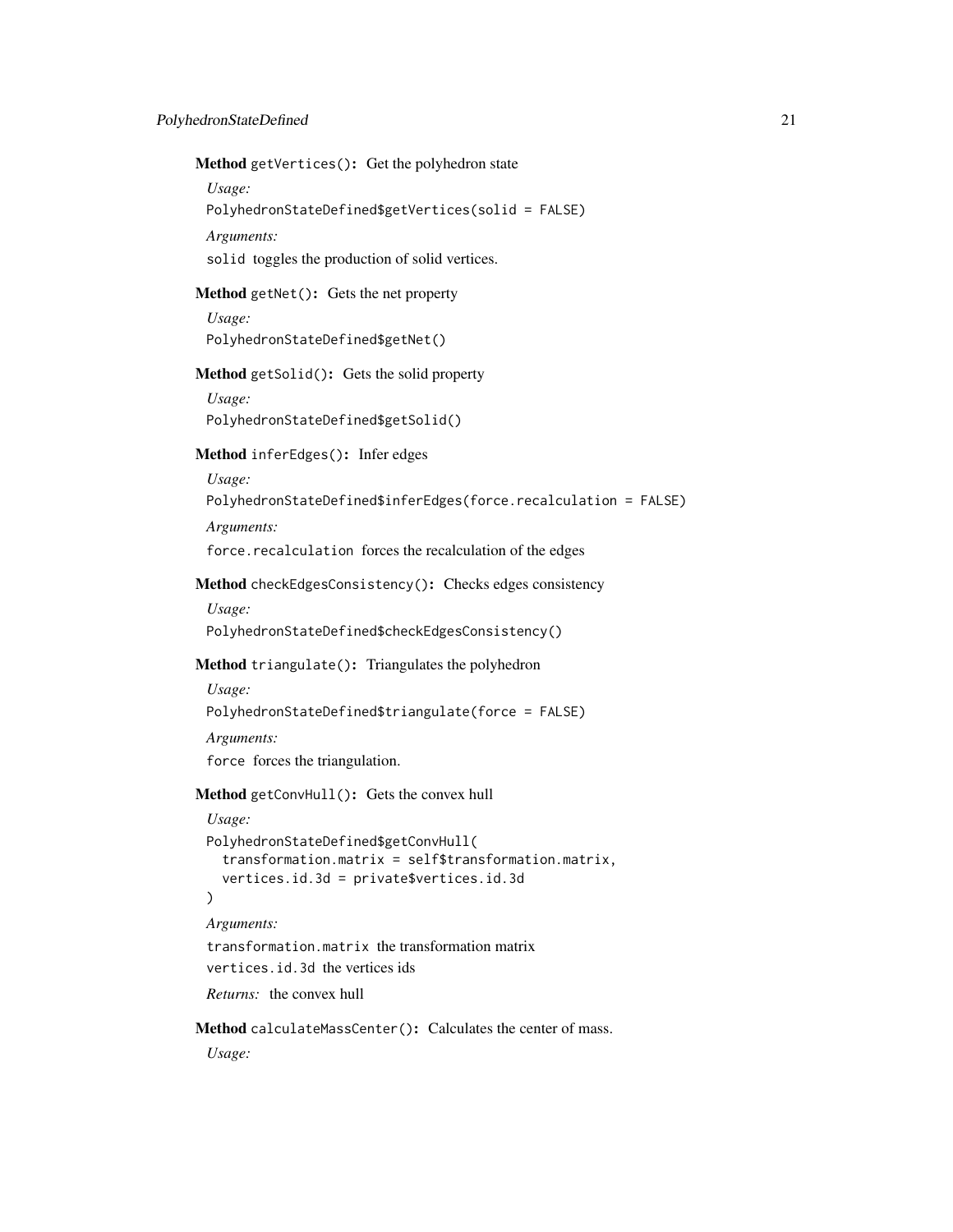Method getVertices(): Get the polyhedron state

*Usage:*

PolyhedronStateDefined\$getVertices(solid = FALSE)

*Arguments:*

solid toggles the production of solid vertices.

# <span id="page-20-0"></span>Method getNet(): Gets the net property

*Usage:* PolyhedronStateDefined\$getNet()

<span id="page-20-1"></span>Method getSolid(): Gets the solid property

*Usage:* PolyhedronStateDefined\$getSolid()

#### <span id="page-20-2"></span>Method inferEdges(): Infer edges

*Usage:*

PolyhedronStateDefined\$inferEdges(force.recalculation = FALSE)

*Arguments:*

force.recalculation forces the recalculation of the edges

# <span id="page-20-3"></span>Method checkEdgesConsistency(): Checks edges consistency

*Usage:*

PolyhedronStateDefined\$checkEdgesConsistency()

# <span id="page-20-4"></span>Method triangulate(): Triangulates the polyhedron

*Usage:*

PolyhedronStateDefined\$triangulate(force = FALSE)

*Arguments:*

force forces the triangulation.

# <span id="page-20-5"></span>Method getConvHull(): Gets the convex hull

```
Usage:
PolyhedronStateDefined$getConvHull(
  transformation.matrix = self$transformation.matrix,
  vertices.id.3d = private$vertices.id.3d
)
```
*Arguments:*

transformation.matrix the transformation matrix vertices.id.3d the vertices ids

*Returns:* the convex hull

<span id="page-20-6"></span>Method calculateMassCenter(): Calculates the center of mass.

*Usage:*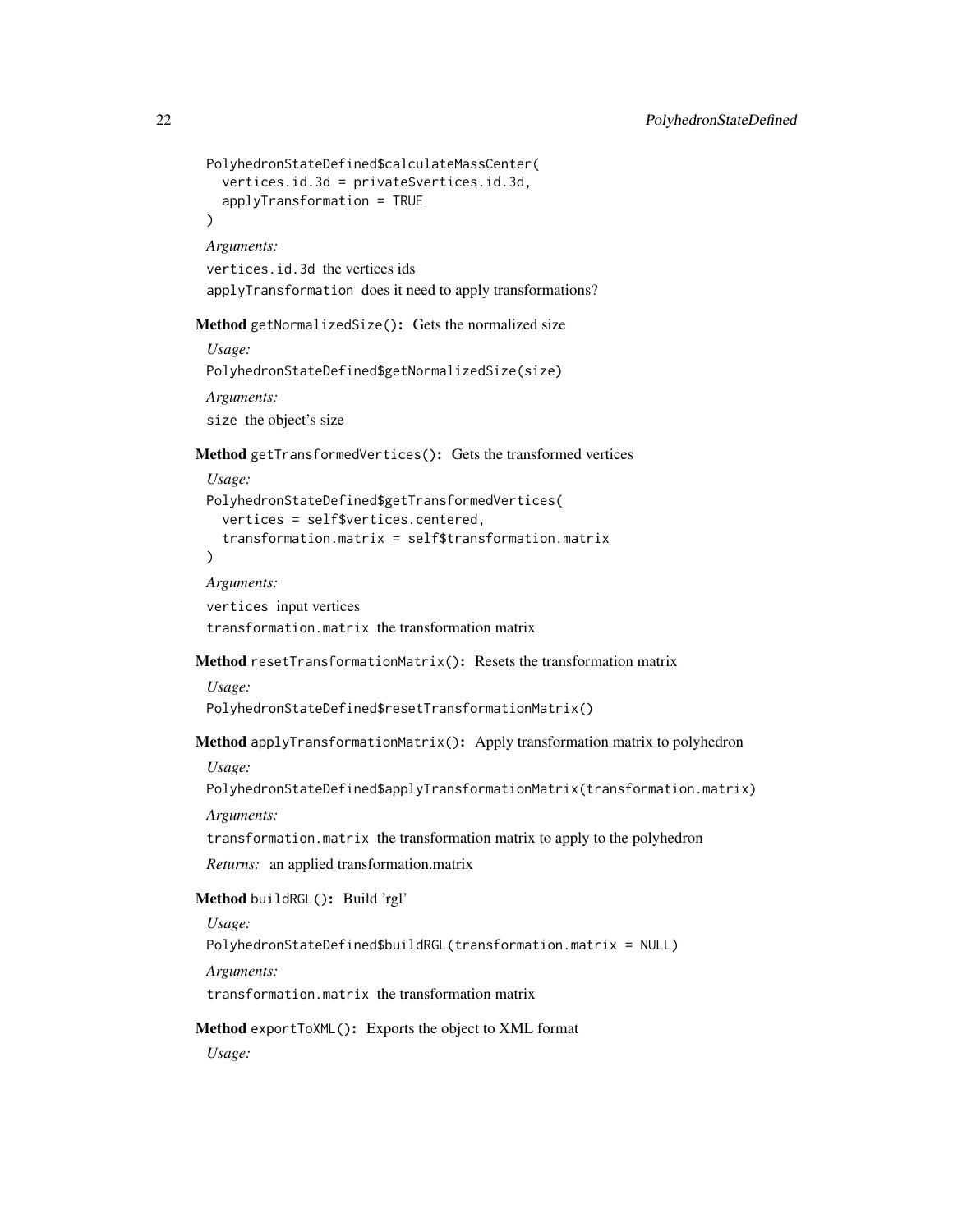```
PolyhedronStateDefined$calculateMassCenter(
   vertices.id.3d = private$vertices.id.3d,
   applyTransformation = TRUE
 \lambdaArguments:
 vertices.id.3d the vertices ids
 applyTransformation does it need to apply transformations?
Method getNormalizedSize(): Gets the normalized size
 Usage:
 PolyhedronStateDefined$getNormalizedSize(size)
 Arguments:
 size the object's size
Method getTransformedVertices(): Gets the transformed vertices
```
<span id="page-21-1"></span>*Usage:*

```
PolyhedronStateDefined$getTransformedVertices(
  vertices = self$vertices.centered,
  transformation.matrix = self$transformation.matrix
\lambda
```
*Arguments:*

vertices input vertices transformation.matrix the transformation matrix

<span id="page-21-2"></span>Method resetTransformationMatrix(): Resets the transformation matrix

*Usage:* PolyhedronStateDefined\$resetTransformationMatrix()

<span id="page-21-3"></span>Method applyTransformationMatrix(): Apply transformation matrix to polyhedron

*Usage:*

PolyhedronStateDefined\$applyTransformationMatrix(transformation.matrix)

*Arguments:*

transformation.matrix the transformation matrix to apply to the polyhedron

*Returns:* an applied transformation.matrix

<span id="page-21-4"></span>Method buildRGL(): Build 'rgl'

*Usage:*

PolyhedronStateDefined\$buildRGL(transformation.matrix = NULL)

*Arguments:*

transformation.matrix the transformation matrix

<span id="page-21-5"></span>Method exportToXML(): Exports the object to XML format

*Usage:*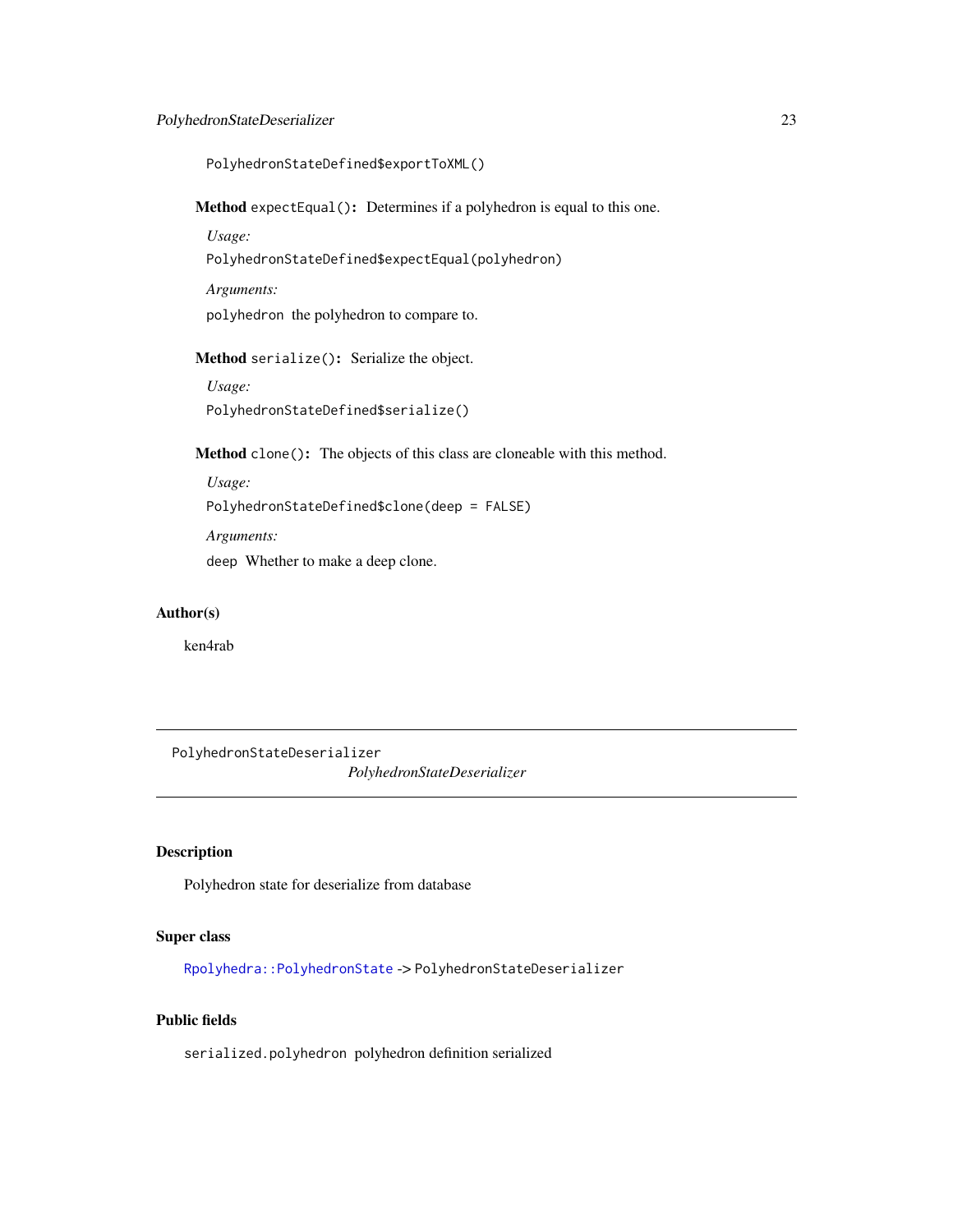# <span id="page-22-0"></span>PolyhedronStateDeserializer 23

PolyhedronStateDefined\$exportToXML()

<span id="page-22-1"></span>Method expectEqual(): Determines if a polyhedron is equal to this one.

*Usage:*

PolyhedronStateDefined\$expectEqual(polyhedron)

*Arguments:*

polyhedron the polyhedron to compare to.

<span id="page-22-2"></span>Method serialize(): Serialize the object.

*Usage:* PolyhedronStateDefined\$serialize()

<span id="page-22-3"></span>Method clone(): The objects of this class are cloneable with this method.

*Usage:* PolyhedronStateDefined\$clone(deep = FALSE) *Arguments:*

deep Whether to make a deep clone.

# Author(s)

ken4rab

PolyhedronStateDeserializer *PolyhedronStateDeserializer*

# Description

Polyhedron state for deserialize from database

#### Super class

[Rpolyhedra::PolyhedronState](#page-0-0) -> PolyhedronStateDeserializer

# Public fields

serialized.polyhedron polyhedron definition serialized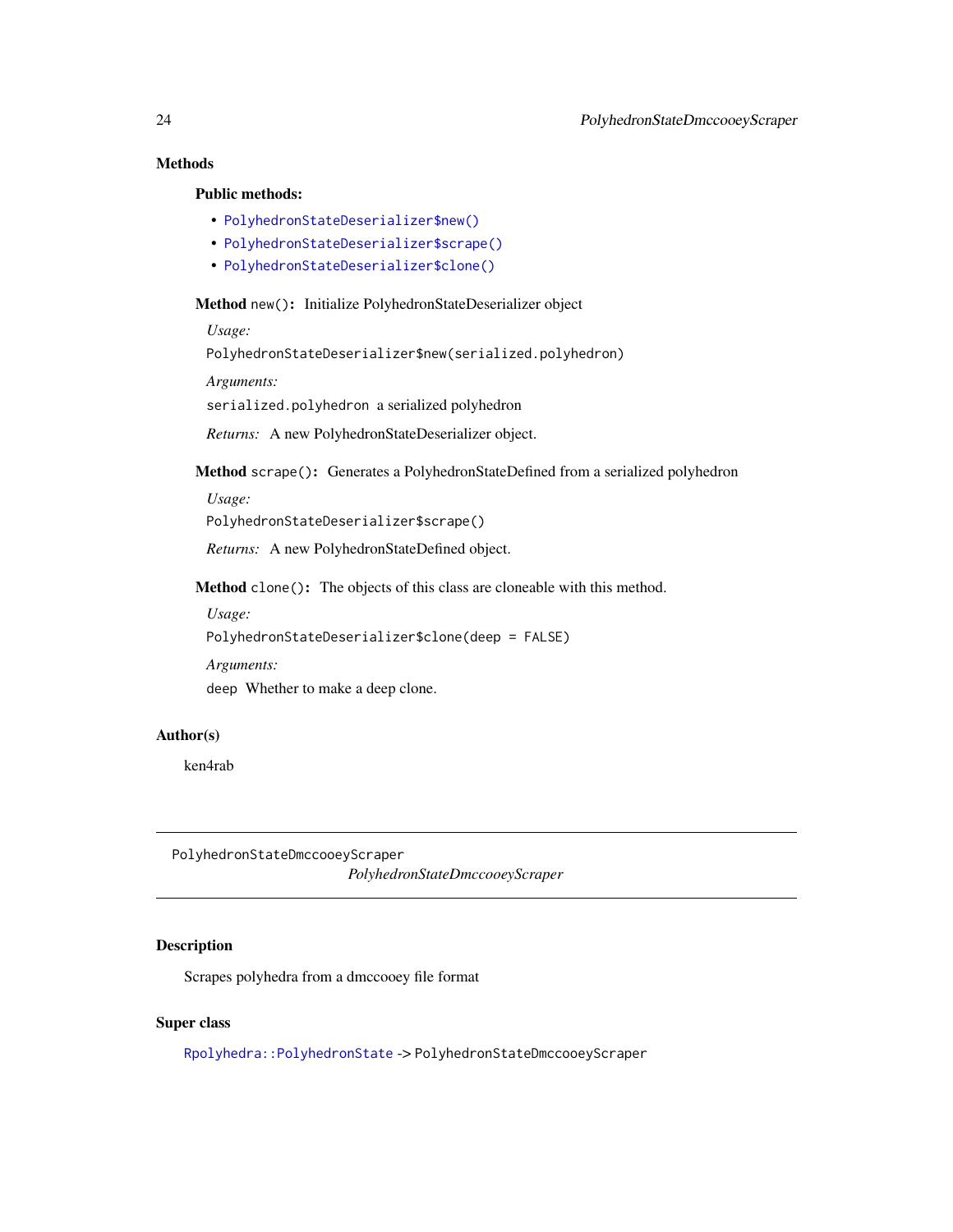# Methods

# Public methods:

- [PolyhedronStateDeserializer\\$new\(\)](#page-23-1)
- [PolyhedronStateDeserializer\\$scrape\(\)](#page-23-2)
- [PolyhedronStateDeserializer\\$clone\(\)](#page-23-3)

#### <span id="page-23-1"></span>Method new(): Initialize PolyhedronStateDeserializer object

*Usage:*

PolyhedronStateDeserializer\$new(serialized.polyhedron)

*Arguments:*

serialized.polyhedron a serialized polyhedron

*Returns:* A new PolyhedronStateDeserializer object.

<span id="page-23-2"></span>Method scrape(): Generates a PolyhedronStateDefined from a serialized polyhedron

*Usage:*

PolyhedronStateDeserializer\$scrape()

*Returns:* A new PolyhedronStateDefined object.

<span id="page-23-3"></span>Method clone(): The objects of this class are cloneable with this method.

*Usage:*

PolyhedronStateDeserializer\$clone(deep = FALSE)

*Arguments:*

deep Whether to make a deep clone.

#### Author(s)

ken4rab

PolyhedronStateDmccooeyScraper *PolyhedronStateDmccooeyScraper*

# Description

Scrapes polyhedra from a dmccooey file format

#### Super class

[Rpolyhedra::PolyhedronState](#page-0-0) -> PolyhedronStateDmccooeyScraper

<span id="page-23-0"></span>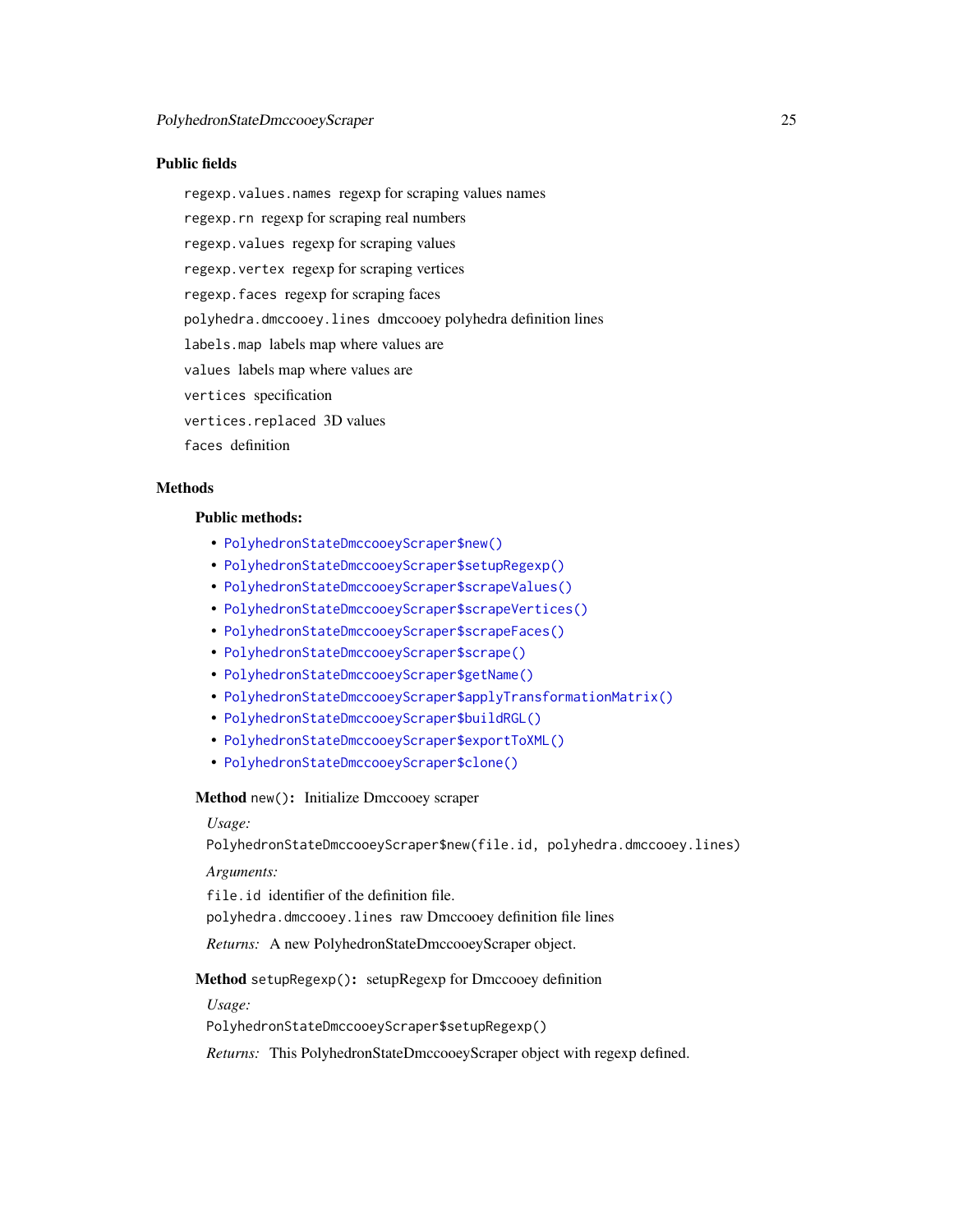#### Public fields

regexp.values.names regexp for scraping values names

regexp.rn regexp for scraping real numbers

regexp.values regexp for scraping values

regexp.vertex regexp for scraping vertices

regexp.faces regexp for scraping faces

polyhedra.dmccooey.lines dmccooey polyhedra definition lines

labels.map labels map where values are

values labels map where values are

vertices specification

vertices.replaced 3D values

faces definition

# **Methods**

#### Public methods:

- [PolyhedronStateDmccooeyScraper\\$new\(\)](#page-24-0)
- [PolyhedronStateDmccooeyScraper\\$setupRegexp\(\)](#page-24-1)
- [PolyhedronStateDmccooeyScraper\\$scrapeValues\(\)](#page-24-2)
- [PolyhedronStateDmccooeyScraper\\$scrapeVertices\(\)](#page-25-0)
- [PolyhedronStateDmccooeyScraper\\$scrapeFaces\(\)](#page-25-1)
- [PolyhedronStateDmccooeyScraper\\$scrape\(\)](#page-25-2)
- [PolyhedronStateDmccooeyScraper\\$getName\(\)](#page-25-3)
- [PolyhedronStateDmccooeyScraper\\$applyTransformationMatrix\(\)](#page-25-4)
- [PolyhedronStateDmccooeyScraper\\$buildRGL\(\)](#page-25-5)
- [PolyhedronStateDmccooeyScraper\\$exportToXML\(\)](#page-25-6)
- [PolyhedronStateDmccooeyScraper\\$clone\(\)](#page-26-1)

<span id="page-24-0"></span>Method new(): Initialize Dmccooey scraper

#### *Usage:*

PolyhedronStateDmccooeyScraper\$new(file.id, polyhedra.dmccooey.lines)

*Arguments:*

file.id identifier of the definition file.

polyhedra.dmccooey.lines raw Dmccooey definition file lines

*Returns:* A new PolyhedronStateDmccooeyScraper object.

<span id="page-24-1"></span>Method setupRegexp(): setupRegexp for Dmccooey definition

*Usage:*

PolyhedronStateDmccooeyScraper\$setupRegexp()

<span id="page-24-2"></span>*Returns:* This PolyhedronStateDmccooeyScraper object with regexp defined.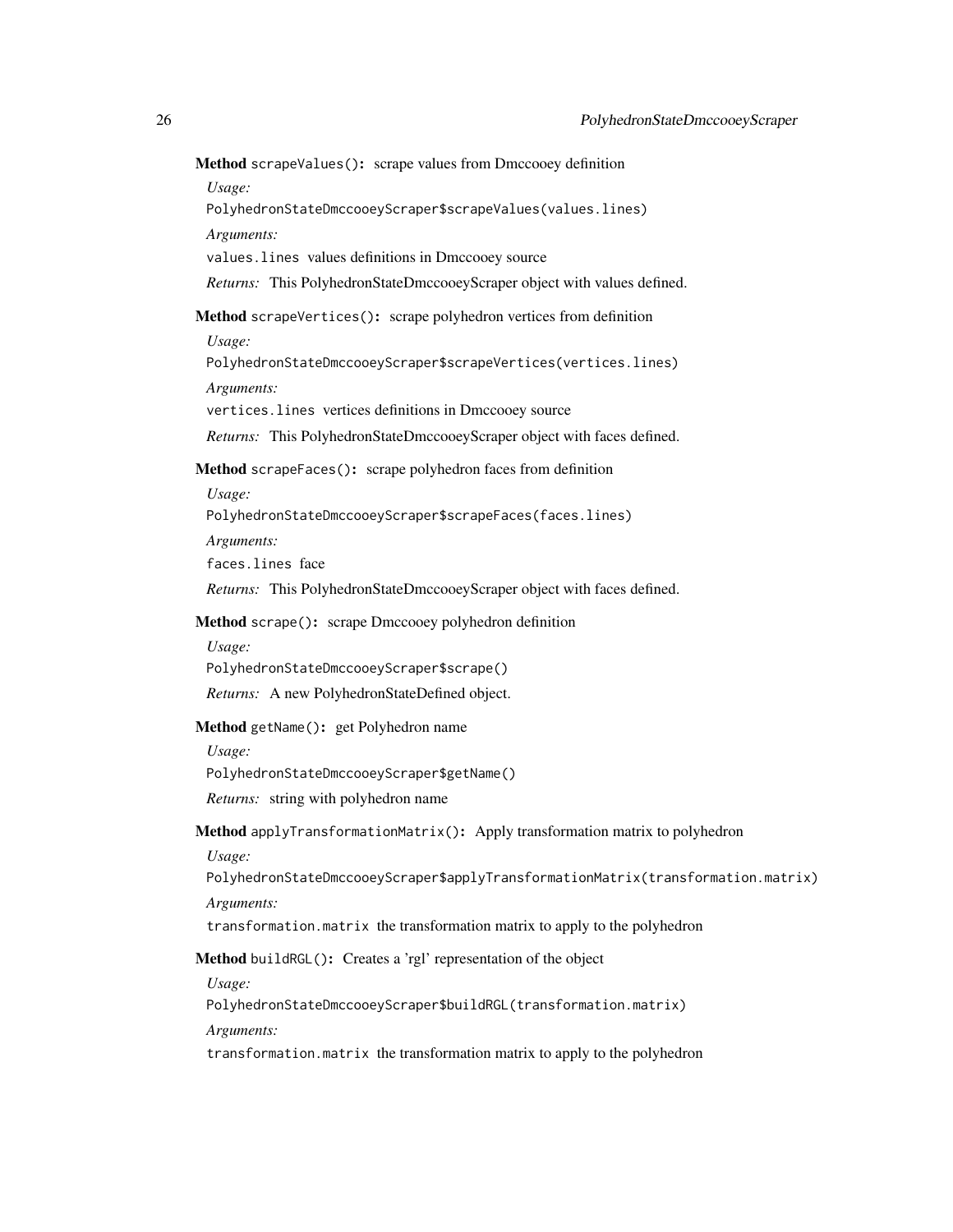Method scrapeValues(): scrape values from Dmccooey definition *Usage:* PolyhedronStateDmccooeyScraper\$scrapeValues(values.lines)

*Arguments:*

values.lines values definitions in Dmccooey source

*Returns:* This PolyhedronStateDmccooeyScraper object with values defined.

<span id="page-25-0"></span>Method scrapeVertices(): scrape polyhedron vertices from definition

*Usage:*

PolyhedronStateDmccooeyScraper\$scrapeVertices(vertices.lines) *Arguments:*

vertices.lines vertices definitions in Dmccooey source

*Returns:* This PolyhedronStateDmccooeyScraper object with faces defined.

<span id="page-25-1"></span>Method scrapeFaces(): scrape polyhedron faces from definition

*Usage:*

PolyhedronStateDmccooeyScraper\$scrapeFaces(faces.lines)

*Arguments:*

faces.lines face

*Returns:* This PolyhedronStateDmccooeyScraper object with faces defined.

<span id="page-25-2"></span>Method scrape(): scrape Dmccooey polyhedron definition

*Usage:*

PolyhedronStateDmccooeyScraper\$scrape()

*Returns:* A new PolyhedronStateDefined object.

<span id="page-25-3"></span>Method getName(): get Polyhedron name

*Usage:*

PolyhedronStateDmccooeyScraper\$getName()

*Returns:* string with polyhedron name

<span id="page-25-4"></span>Method applyTransformationMatrix(): Apply transformation matrix to polyhedron

*Usage:*

PolyhedronStateDmccooeyScraper\$applyTransformationMatrix(transformation.matrix) *Arguments:*

transformation.matrix the transformation matrix to apply to the polyhedron

<span id="page-25-5"></span>Method buildRGL(): Creates a 'rgl' representation of the object

*Usage:*

PolyhedronStateDmccooeyScraper\$buildRGL(transformation.matrix)

*Arguments:*

<span id="page-25-6"></span>transformation.matrix the transformation matrix to apply to the polyhedron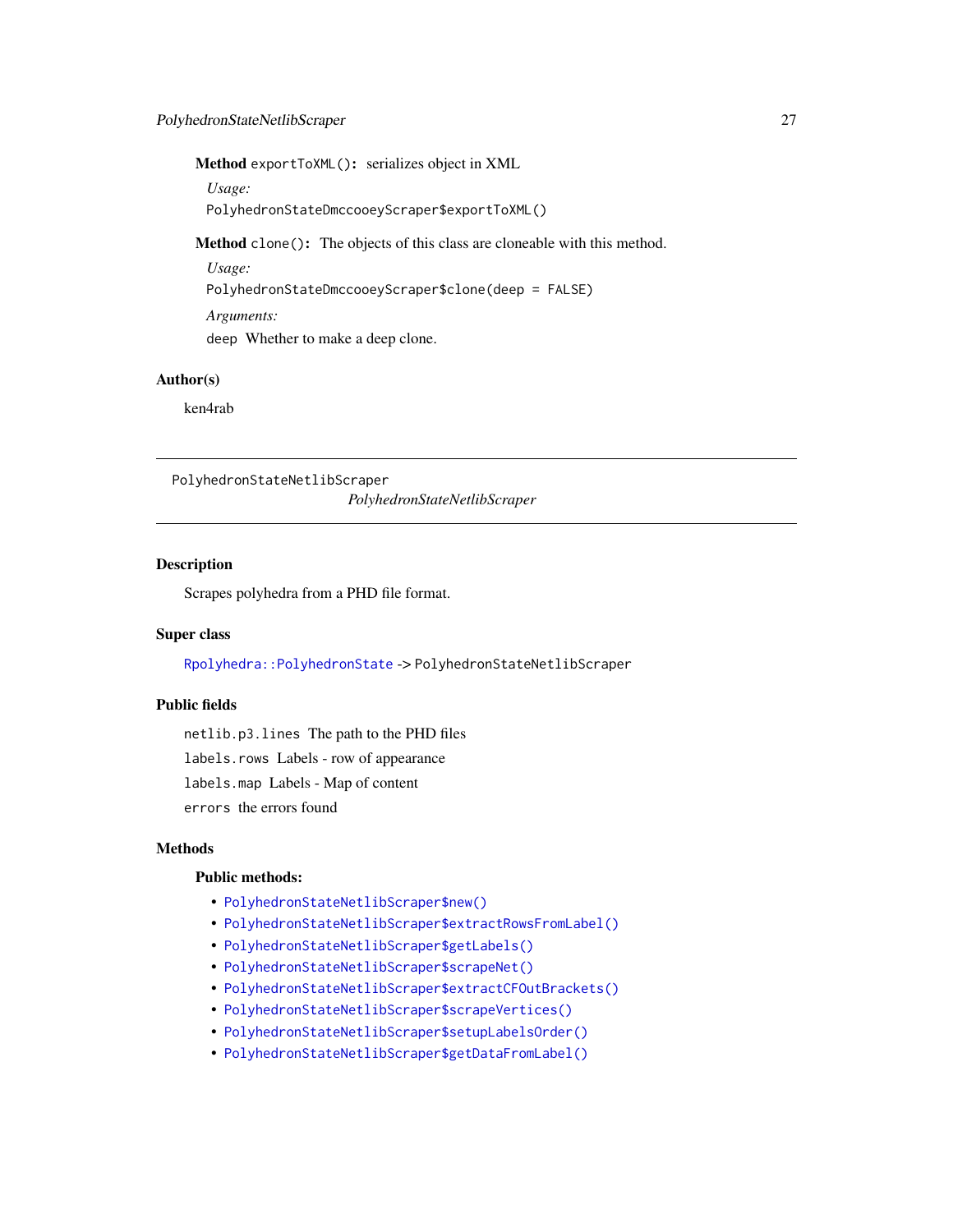<span id="page-26-0"></span>Method exportToXML(): serializes object in XML

*Usage:*

PolyhedronStateDmccooeyScraper\$exportToXML()

<span id="page-26-1"></span>Method clone(): The objects of this class are cloneable with this method.

*Usage:*

PolyhedronStateDmccooeyScraper\$clone(deep = FALSE)

*Arguments:* deep Whether to make a deep clone.

# Author(s)

ken4rab

PolyhedronStateNetlibScraper

*PolyhedronStateNetlibScraper*

# Description

Scrapes polyhedra from a PHD file format.

# Super class

[Rpolyhedra::PolyhedronState](#page-0-0) -> PolyhedronStateNetlibScraper

# Public fields

netlib.p3.lines The path to the PHD files

labels.rows Labels - row of appearance

labels.map Labels - Map of content

errors the errors found

# Methods

#### Public methods:

- [PolyhedronStateNetlibScraper\\$new\(\)](#page-27-0)
- [PolyhedronStateNetlibScraper\\$extractRowsFromLabel\(\)](#page-27-1)
- [PolyhedronStateNetlibScraper\\$getLabels\(\)](#page-27-2)
- [PolyhedronStateNetlibScraper\\$scrapeNet\(\)](#page-27-3)
- [PolyhedronStateNetlibScraper\\$extractCFOutBrackets\(\)](#page-27-4)
- [PolyhedronStateNetlibScraper\\$scrapeVertices\(\)](#page-27-5)
- [PolyhedronStateNetlibScraper\\$setupLabelsOrder\(\)](#page-28-0)
- [PolyhedronStateNetlibScraper\\$getDataFromLabel\(\)](#page-28-1)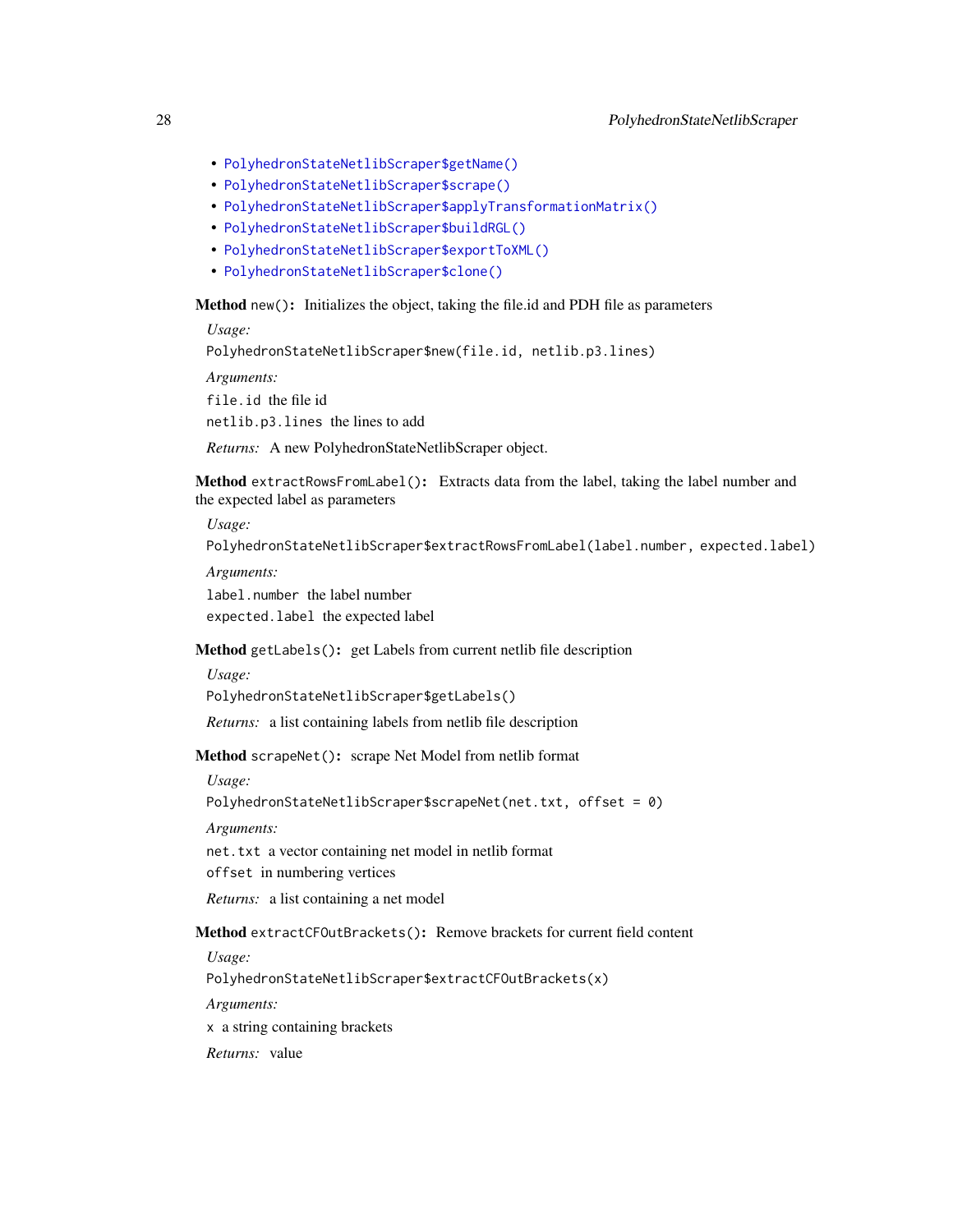- [PolyhedronStateNetlibScraper\\$getName\(\)](#page-28-2)
- [PolyhedronStateNetlibScraper\\$scrape\(\)](#page-28-3)
- [PolyhedronStateNetlibScraper\\$applyTransformationMatrix\(\)](#page-28-4)
- [PolyhedronStateNetlibScraper\\$buildRGL\(\)](#page-28-5)
- [PolyhedronStateNetlibScraper\\$exportToXML\(\)](#page-28-6)
- [PolyhedronStateNetlibScraper\\$clone\(\)](#page-29-1)

#### <span id="page-27-0"></span>Method new(): Initializes the object, taking the file.id and PDH file as parameters

*Usage:*

PolyhedronStateNetlibScraper\$new(file.id, netlib.p3.lines)

*Arguments:*

file.id the file id

netlib.p3.lines the lines to add

*Returns:* A new PolyhedronStateNetlibScraper object.

<span id="page-27-1"></span>Method extractRowsFromLabel(): Extracts data from the label, taking the label number and the expected label as parameters

*Usage:*

PolyhedronStateNetlibScraper\$extractRowsFromLabel(label.number, expected.label)

*Arguments:*

label.number the label number

expected.label the expected label

# <span id="page-27-2"></span>Method getLabels(): get Labels from current netlib file description

*Usage:*

PolyhedronStateNetlibScraper\$getLabels()

*Returns:* a list containing labels from netlib file description

<span id="page-27-3"></span>Method scrapeNet(): scrape Net Model from netlib format

*Usage:*

PolyhedronStateNetlibScraper\$scrapeNet(net.txt, offset = 0)

*Arguments:*

net.txt a vector containing net model in netlib format

offset in numbering vertices

*Returns:* a list containing a net model

<span id="page-27-4"></span>Method extractCFOutBrackets(): Remove brackets for current field content

*Usage:*

PolyhedronStateNetlibScraper\$extractCFOutBrackets(x)

*Arguments:*

x a string containing brackets

<span id="page-27-5"></span>*Returns:* value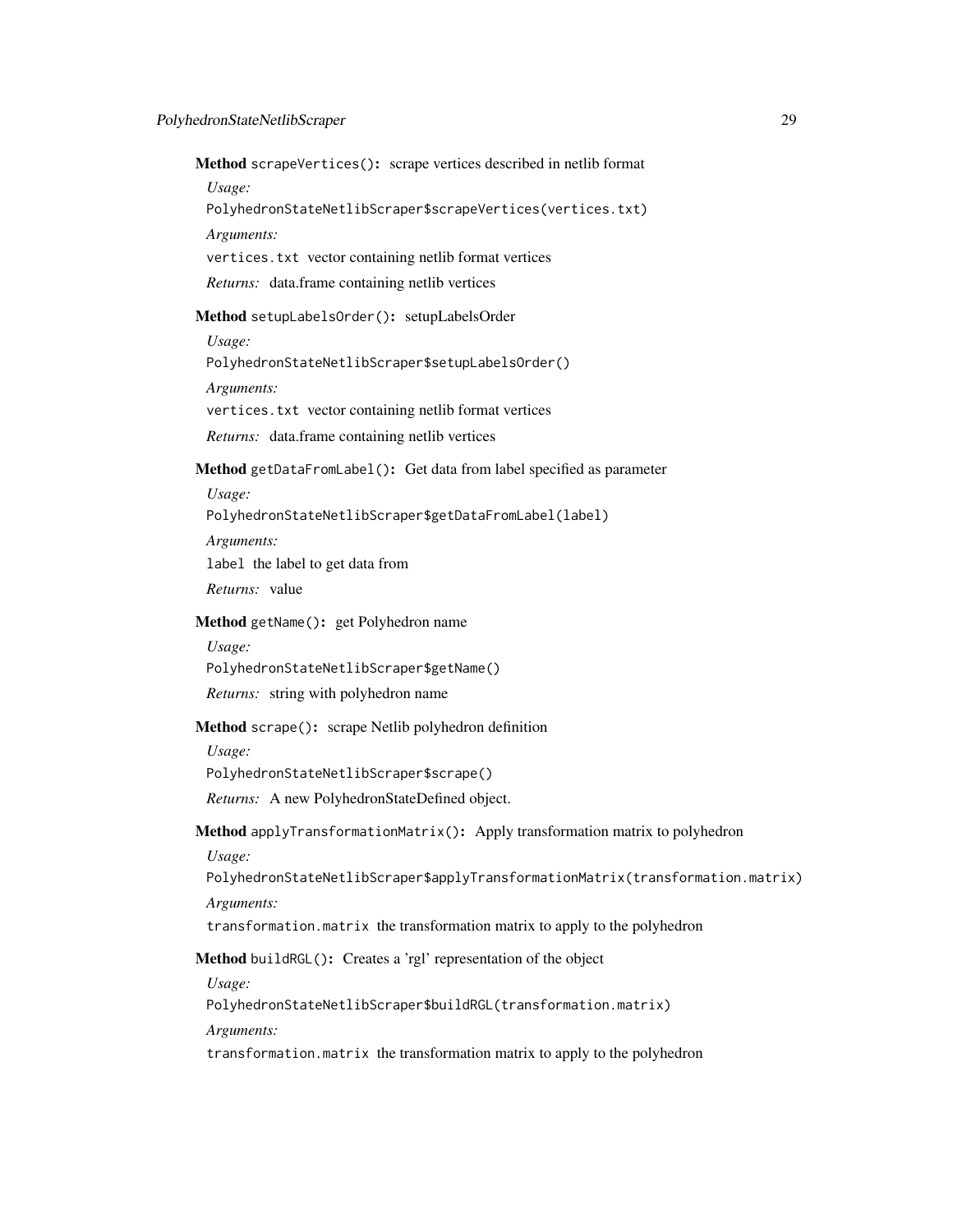Method scrapeVertices(): scrape vertices described in netlib format *Usage:*

PolyhedronStateNetlibScraper\$scrapeVertices(vertices.txt)

*Arguments:*

vertices.txt vector containing netlib format vertices

*Returns:* data.frame containing netlib vertices

<span id="page-28-0"></span>Method setupLabelsOrder(): setupLabelsOrder

*Usage:*

PolyhedronStateNetlibScraper\$setupLabelsOrder()

*Arguments:*

vertices.txt vector containing netlib format vertices

*Returns:* data.frame containing netlib vertices

<span id="page-28-1"></span>Method getDataFromLabel(): Get data from label specified as parameter

*Usage:*

PolyhedronStateNetlibScraper\$getDataFromLabel(label)

*Arguments:* label the label to get data from

*Returns:* value

#### <span id="page-28-2"></span>Method getName(): get Polyhedron name

*Usage:* PolyhedronStateNetlibScraper\$getName() *Returns:* string with polyhedron name

#### <span id="page-28-3"></span>Method scrape(): scrape Netlib polyhedron definition

*Usage:*

PolyhedronStateNetlibScraper\$scrape()

*Returns:* A new PolyhedronStateDefined object.

# <span id="page-28-4"></span>Method applyTransformationMatrix(): Apply transformation matrix to polyhedron

*Usage:*

PolyhedronStateNetlibScraper\$applyTransformationMatrix(transformation.matrix) *Arguments:*

transformation.matrix the transformation matrix to apply to the polyhedron

<span id="page-28-5"></span>Method buildRGL(): Creates a 'rgl' representation of the object

*Usage:*

PolyhedronStateNetlibScraper\$buildRGL(transformation.matrix)

*Arguments:*

<span id="page-28-6"></span>transformation.matrix the transformation matrix to apply to the polyhedron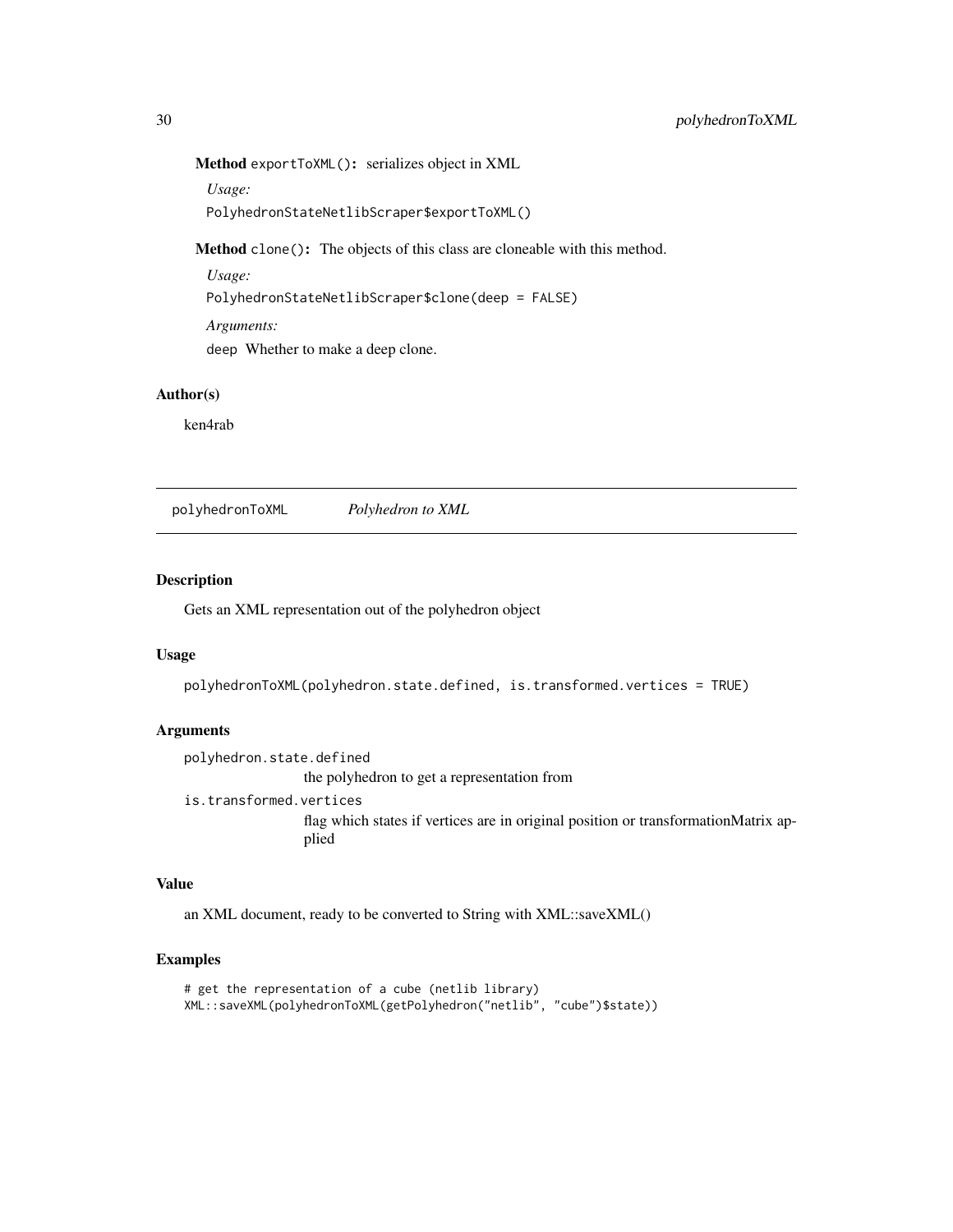Method exportToXML(): serializes object in XML

*Usage:* PolyhedronStateNetlibScraper\$exportToXML()

<span id="page-29-1"></span>Method clone(): The objects of this class are cloneable with this method.

*Usage:*

PolyhedronStateNetlibScraper\$clone(deep = FALSE)

*Arguments:*

deep Whether to make a deep clone.

# Author(s)

ken4rab

polyhedronToXML *Polyhedron to XML*

#### Description

Gets an XML representation out of the polyhedron object

#### Usage

polyhedronToXML(polyhedron.state.defined, is.transformed.vertices = TRUE)

#### Arguments

polyhedron.state.defined the polyhedron to get a representation from is.transformed.vertices flag which states if vertices are in original position or transformationMatrix applied

# Value

an XML document, ready to be converted to String with XML::saveXML()

# Examples

```
# get the representation of a cube (netlib library)
XML::saveXML(polyhedronToXML(getPolyhedron("netlib", "cube")$state))
```
<span id="page-29-0"></span>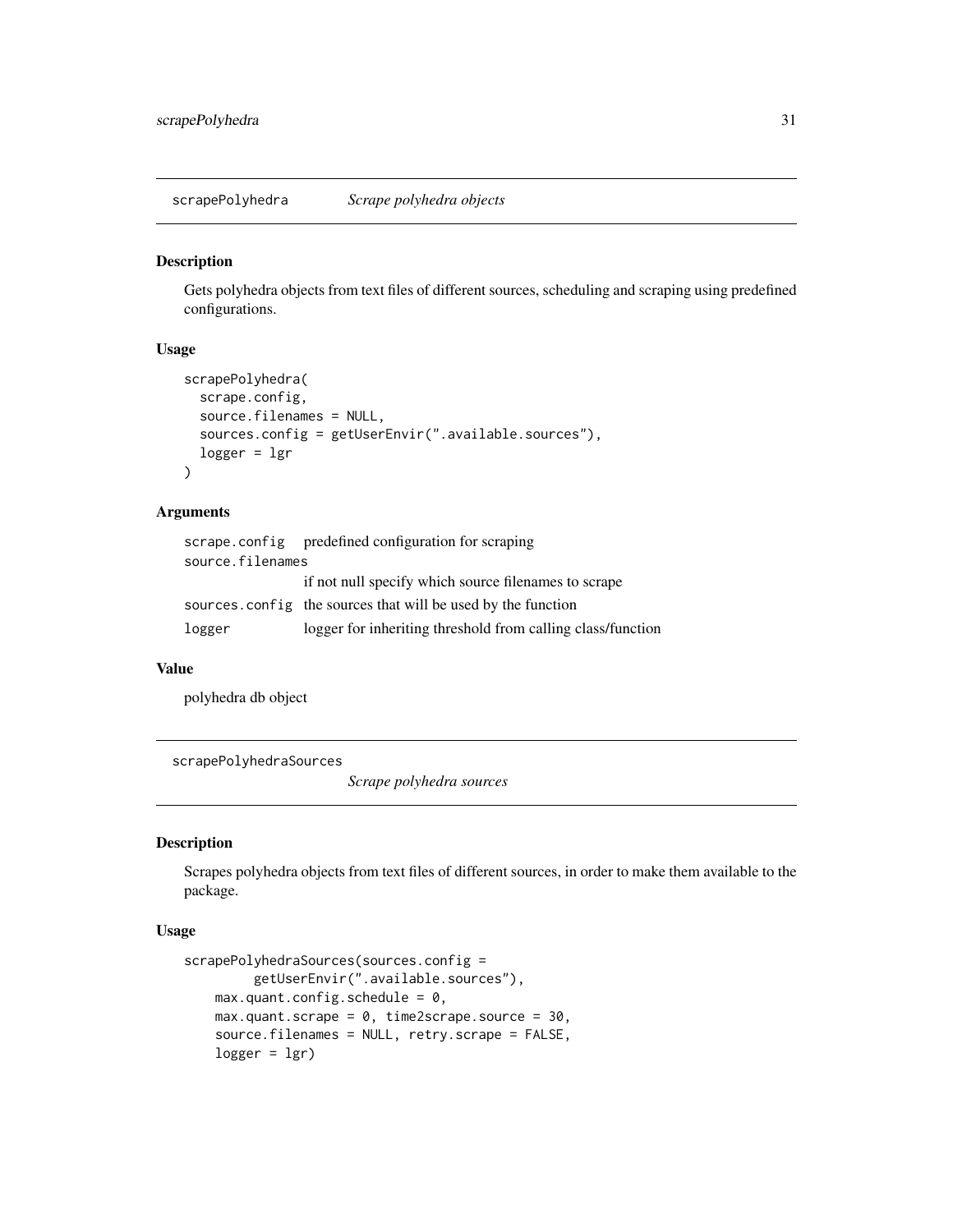<span id="page-30-0"></span>scrapePolyhedra *Scrape polyhedra objects*

#### Description

Gets polyhedra objects from text files of different sources, scheduling and scraping using predefined configurations.

#### Usage

```
scrapePolyhedra(
  scrape.config,
  source.filenames = NULL,
  sources.config = getUserEnvir(".available.sources"),
  logger = lgr
)
```
# Arguments

|                  | scrape.config predefined configuration for scraping           |
|------------------|---------------------------------------------------------------|
| source.filenames |                                                               |
|                  | if not null specify which source filenames to scrape          |
|                  | sources, config the sources that will be used by the function |
| logger           | logger for inheriting threshold from calling class/function   |

#### Value

polyhedra db object

scrapePolyhedraSources

*Scrape polyhedra sources*

# Description

Scrapes polyhedra objects from text files of different sources, in order to make them available to the package.

# Usage

```
scrapePolyhedraSources(sources.config =
         getUserEnvir(".available.sources"),
   max.quant.config.schedule = 0,
   max.quant.scrape = 0, time2scrape.source = 30,
    source.filenames = NULL, retry.scrape = FALSE,
   logger = lgr)
```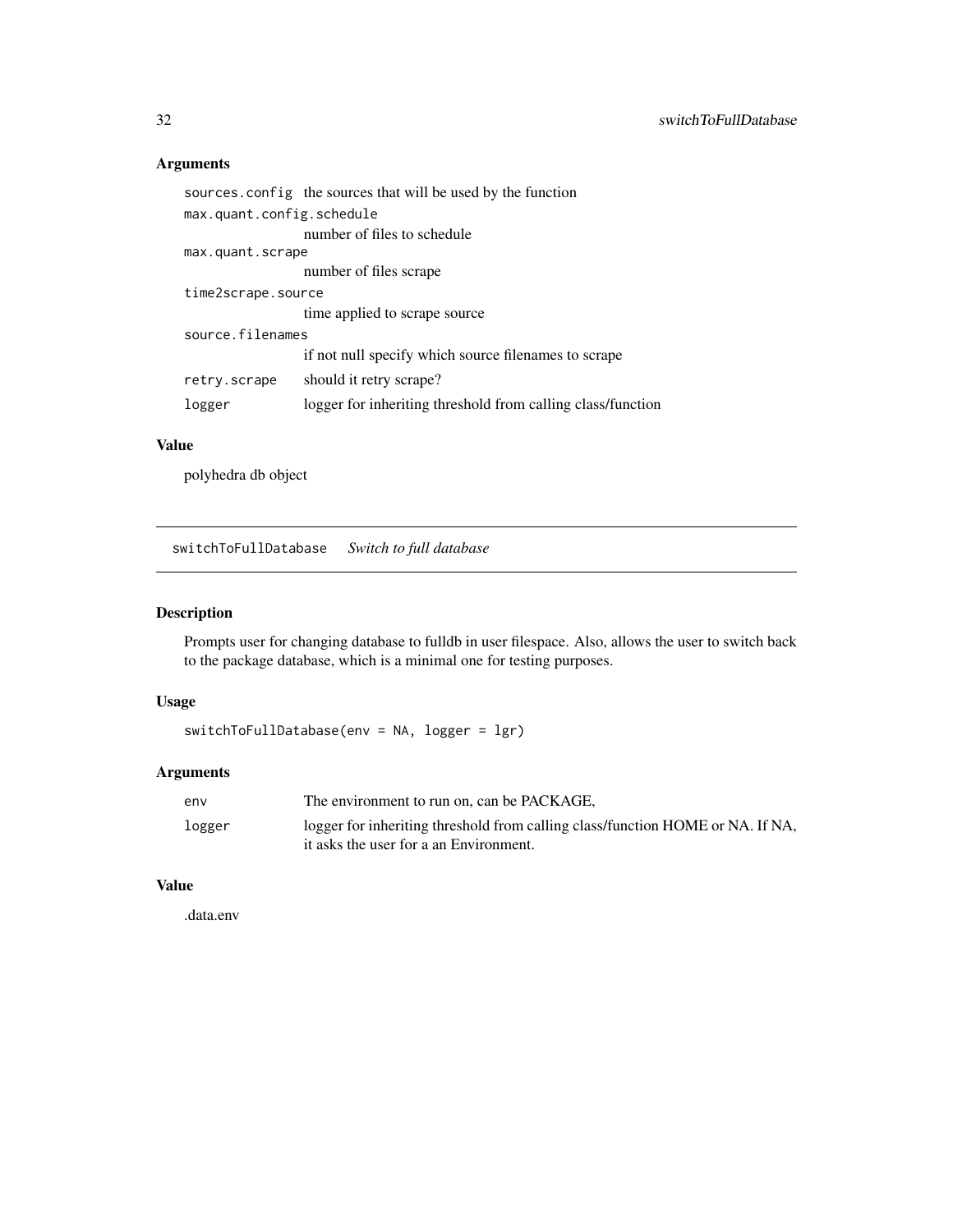#### Arguments

```
sources.config the sources that will be used by the function
max.quant.config.schedule
                 number of files to schedule
max.quant.scrape
                 number of files scrape
time2scrape.source
                 time applied to scrape source
source.filenames
                 if not null specify which source filenames to scrape
retry.scrape should it retry scrape?
logger logger for inheriting threshold from calling class/function
```
# Value

polyhedra db object

switchToFullDatabase *Switch to full database*

# Description

Prompts user for changing database to fulldb in user filespace. Also, allows the user to switch back to the package database, which is a minimal one for testing purposes.

# Usage

```
switchToFullDatabase(env = NA, logger = lgr)
```
#### Arguments

| env    | The environment to run on, can be PACKAGE,                                                                               |
|--------|--------------------------------------------------------------------------------------------------------------------------|
| logger | logger for inheriting threshold from calling class/function HOME or NA. If NA,<br>it asks the user for a an Environment. |

#### Value

.data.env

<span id="page-31-0"></span>